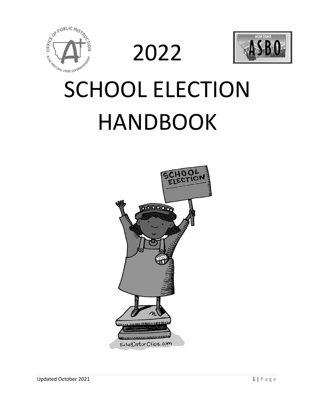

2022



# SCHOOL ELECTION HANDBOOK

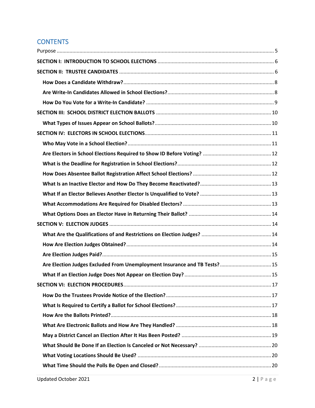## **CONTENTS**

| Are Election Judges Excluded From Unemployment Insurance and TB Tests? 15 |  |
|---------------------------------------------------------------------------|--|
|                                                                           |  |
|                                                                           |  |
|                                                                           |  |
|                                                                           |  |
|                                                                           |  |
|                                                                           |  |
|                                                                           |  |
|                                                                           |  |
|                                                                           |  |
|                                                                           |  |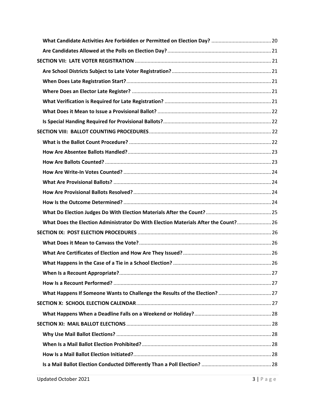| What Does the Election Administrator Do With Election Materials After the Count? 26 |  |
|-------------------------------------------------------------------------------------|--|
|                                                                                     |  |
|                                                                                     |  |
|                                                                                     |  |
|                                                                                     |  |
|                                                                                     |  |
|                                                                                     |  |
|                                                                                     |  |
|                                                                                     |  |
|                                                                                     |  |
|                                                                                     |  |
|                                                                                     |  |
|                                                                                     |  |
|                                                                                     |  |
|                                                                                     |  |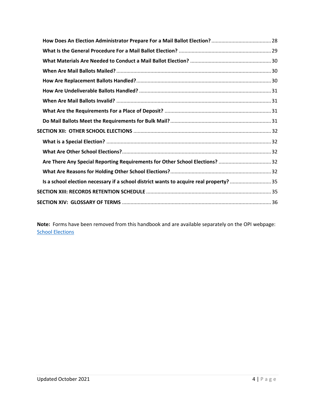| Are There Any Special Reporting Requirements for Other School Elections? 32            |  |
|----------------------------------------------------------------------------------------|--|
|                                                                                        |  |
| Is a school election necessary if a school district wants to acquire real property? 35 |  |
|                                                                                        |  |
|                                                                                        |  |
|                                                                                        |  |

**Note:** Forms have been removed from this handbook and are available separately on the OPI webpage: **[School Elections](http://opi.mt.gov/Leadership/Finance-Grants/School-Finance/Elections)**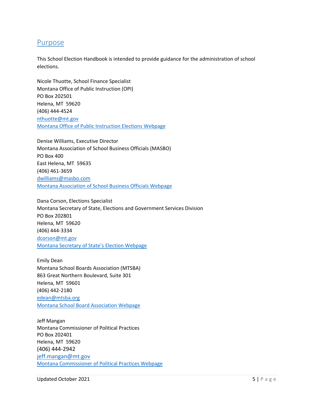## <span id="page-4-0"></span>Purpose

This School Election Handbook is intended to provide guidance for the administration of school elections.

Nicole Thuotte, School Finance Specialist Montana Office of Public Instruction (OPI) PO Box 202501 Helena, MT 59620 (406) 444-4524 [nthuotte@mt.gov](mailto:nthuotte@mt.gov) Montana [Office of Public Instruction Elections Webpage](http://opi.mt.gov/Leadership/Finance-Grants/School-Finance/Elections)

Denise Williams, Executive Director Montana Association of School Business Officials (MASBO) PO Box 400 East Helena, MT 59635 (406) 461-3659 [dwilliams@masbo.com](mailto:dwilliams@masbo.com) [Montana Association of School Business Officials Webpage](http://www.masbo.com/)

Dana Corson, Elections Specialist Montana Secretary of State, Elections and Government Services Division PO Box 202801 Helena, MT 59620 (406) 444-3334 [dcorson@mt.gov](mailto:dcorson@mt.gov) [Montana Secretary of State's](https://sosmt.gov/elections/) Election Webpage

Emily Dean Montana School Boards Association (MTSBA) 863 Great Northern Boulevard, Suite 301 Helena, MT 59601 (406) 442-2180 [edean@mtsba.org](mailto:edean@mtsba.org) [Montana School Board Association Webpage](http://www.mtsba.org/)

Jeff Mangan Montana Commissioner of Political Practices PO Box 202401 Helena, MT 59620 (406) 444-2942 [jeff.mangan@mt.gov](mailto:jeff.mangan@mt.gov) [Montana Commissioner of Political Practices Webpage](http://politicalpractices.mt.gov/)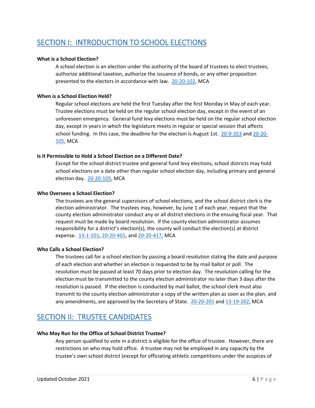## <span id="page-5-0"></span>SECTION I: INTRODUCTION TO SCHOOL ELECTIONS

## **What is a School Election?**

A school election is an election under the authority of the board of trustees to elect trustees, authorize additional taxation, authorize the issuance of bonds, or any other proposition presented to the electors in accordance with law. [20-20-102,](http://leg.mt.gov/bills/mca/title_0200/chapter_0200/part_0010/section_0020/0200-0200-0010-0020.html) MCA

## **When is a School Election Held?**

Regular school elections are held the first Tuesday after the first Monday in May of each year. Trustee elections must be held on the regular school election day, except in the event of an unforeseen emergency. General fund levy elections must be held on the regular school election day, except in years in which the legislature meets in regular or special session that affects school funding. In this case, the deadline for the election is August 1st. [20-9-353](http://leg.mt.gov/bills/mca/title_0200/chapter_0090/part_0030/section_0530/0200-0090-0030-0530.html) and [20-20-](http://leg.mt.gov/bills/mca/title_0200/chapter_0200/part_0010/section_0050/0200-0200-0010-0050.html) [105,](http://leg.mt.gov/bills/mca/title_0200/chapter_0200/part_0010/section_0050/0200-0200-0010-0050.html) MCA

## **Is it Permissible to Hold a School Election on a Different Date?**

Except for the school district trustee and general fund levy elections, school districts may hold school elections on a date other than regular school election day, including primary and general election day. [20-20-105,](http://leg.mt.gov/bills/mca/title_0200/chapter_0200/part_0010/section_0050/0200-0200-0010-0050.html) MCA

## **Who Oversees a School Election?**

The trustees are the general supervisors of school elections, and the school district clerk is the election administrator. The trustees may, however, by June 1 of each year, request that the county election administrator conduct any or all district elections in the ensuing fiscal year. That request must be made by board resolution. If the county election administrator assumes responsibility for a district's election(s), the county will conduct the election(s) at district expense. [13-1-101,](http://leg.mt.gov/bills/mca/title_0130/chapter_0010/part_0010/section_0010/0130-0010-0010-0010.html) [20-20-401,](http://leg.mt.gov/bills/mca/title_0200/chapter_0200/part_0040/section_0010/0200-0200-0040-0010.html) an[d 20-20-417,](http://leg.mt.gov/bills/mca/title_0200/chapter_0200/part_0040/section_0170/0200-0200-0040-0170.html) MCA

## **Who Calls a School Election?**

The trustees call for a school election by passing a board resolution stating the date and purpose of each election and whether an election is requested to be by mail ballot or poll. The resolution must be passed at least 70 days prior to election day. The resolution calling for the election must be transmitted to the county election administrator no later than 3 days after the resolution is passed. If the election is conducted by mail ballot, the school clerk must also transmit to the county election administrator a copy of the written plan as soon as the plan, and any amendments, are approved by the Secretary of State. [20-20-201](http://leg.mt.gov/bills/mca/title_0200/chapter_0200/part_0020/section_0010/0200-0200-0020-0010.html) an[d 13-19-202,](http://leg.mt.gov/bills/mca/title_0130/chapter_0190/part_0020/section_0020/0130-0190-0020-0020.html) MCA

## <span id="page-5-1"></span>SECTION II: TRUSTEE CANDIDATES

## **Who May Run for the Office of School District Trustee?**

Any person qualified to vote in a district is eligible for the office of trustee. However, there are restrictions on who may hold office. A trustee may not be employed in any capacity by the trustee's own school district (except for officiating athletic competitions under the auspices of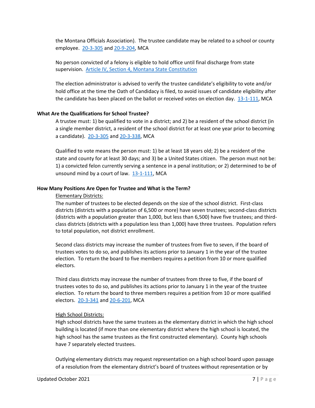the Montana Officials Association). The trustee candidate may be related to a school or county employee. [20-3-305](http://leg.mt.gov/bills/mca/title_0200/chapter_0030/part_0030/section_0050/0200-0030-0030-0050.html) and [20-9-204,](http://leg.mt.gov/bills/mca/title_0200/chapter_0090/part_0020/section_0040/0200-0090-0020-0040.html) MCA

No person convicted of a felony is eligible to hold office until final discharge from state supervision. [Article IV, Section 4, Montana State Constitution](http://leg.mt.gov/bills/mca_toc/CONSTITUTION_IV_IV.htm)

The election administrator is advised to verify the trustee candidate's eligibility to vote and/or hold office at the time the Oath of Candidacy is filed, to avoid issues of candidate eligibility after the candidate has been placed on the ballot or received votes on election day. [13-1-111,](http://leg.mt.gov/bills/mca/title_0130/chapter_0010/part_0010/section_0110/0130-0010-0010-0110.html) MCA

## **What Are the Qualifications for School Trustee?**

A trustee must: 1) be qualified to vote in a district; and 2) be a resident of the school district (in a single member district, a resident of the school district for at least one year prior to becoming a candidate). [20-3-305](http://leg.mt.gov/bills/mca/title_0200/chapter_0030/part_0030/section_0050/0200-0030-0030-0050.html) and [20-3-338,](http://leg.mt.gov/bills/mca/title_0200/chapter_0030/part_0030/section_0380/0200-0030-0030-0380.html) MCA

Qualified to vote means the person must: 1) be at least 18 years old; 2) be a resident of the state and county for at least 30 days; and 3) be a United States citizen. The person must not be: 1) a convicted felon currently serving a sentence in a penal institution; or 2) determined to be of unsound mind by a court of law. [13-1-111,](http://leg.mt.gov/bills/mca/title_0130/chapter_0010/part_0010/section_0110/0130-0010-0010-0110.html) MCA

#### **How Many Positions Are Open for Trustee and What is the Term?**

## Elementary Districts:

The number of trustees to be elected depends on the size of the school district. First-class districts (districts with a population of 6,500 or more) have seven trustees; second-class districts (districts with a population greater than 1,000, but less than 6,500) have five trustees; and thirdclass districts (districts with a population less than 1,000) have three trustees. Population refers to total population, not district enrollment.

Second class districts may increase the number of trustees from five to seven, if the board of trustees votes to do so, and publishes its actions prior to January 1 in the year of the trustee election. To return the board to five members requires a petition from 10 or more qualified electors.

Third class districts may increase the number of trustees from three to five, if the board of trustees votes to do so, and publishes its actions prior to January 1 in the year of the trustee election. To return the board to three members requires a petition from 10 or more qualified electors. [20-3-341](http://leg.mt.gov/bills/mca/title_0200/chapter_0030/part_0030/section_0410/0200-0030-0030-0410.html) and [20-6-201,](http://leg.mt.gov/bills/mca/title_0200/chapter_0060/part_0020/section_0010/0200-0060-0020-0010.html) MCA

#### High School Districts:

High school districts have the same trustees as the elementary district in which the high school building is located (if more than one elementary district where the high school is located, the high school has the same trustees as the first constructed elementary). County high schools have 7 separately elected trustees.

Outlying elementary districts may request representation on a high school board upon passage of a resolution from the elementary district's board of trustees without representation or by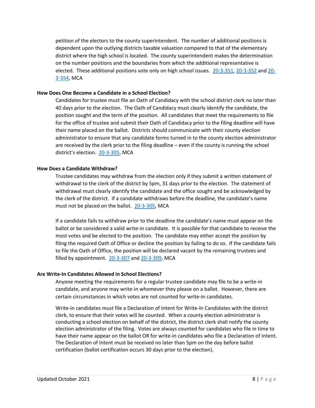petition of the electors to the county superintendent. The number of additional positions is dependent upon the outlying districts taxable valuation compared to that of the elementary district where the high school is located. The county superintendent makes the determination on the number positions and the boundaries from which the additional representative is elected. These additional positions vote only on high school issues. [20-3-351,](http://leg.mt.gov/bills/mca/title_0200/chapter_0030/part_0030/section_0510/0200-0030-0030-0510.html) [20-3-352](http://leg.mt.gov/bills/mca/title_0200/chapter_0030/part_0030/section_0520/0200-0030-0030-0520.html) and [20-](http://leg.mt.gov/bills/mca/title_0200/chapter_0030/part_0030/section_0540/0200-0030-0030-0540.html) [3-354,](http://leg.mt.gov/bills/mca/title_0200/chapter_0030/part_0030/section_0540/0200-0030-0030-0540.html) MCA

## **How Does One Become a Candidate in a School Election?**

Candidates for trustee must file an Oath of Candidacy with the school district clerk no later than 40 days prior to the election. The Oath of Candidacy must clearly identify the candidate, the position sought and the term of the position. All candidates that meet the requirements to file for the office of trustee and submit their Oath of Candidacy prior to the filing deadline will have their name placed on the ballot. Districts should communicate with their county election administrator to ensure that any candidate forms turned in to the county election administrator are received by the clerk prior to the filing deadline – even if the county is running the school district's election. [20-3-305,](http://leg.mt.gov/bills/mca/title_0200/chapter_0030/part_0030/section_0050/0200-0030-0030-0050.html) MCA

## <span id="page-7-0"></span>**How Does a Candidate Withdraw?**

Trustee candidates may withdraw from the election only if they submit a written statement of withdrawal to the clerk of the district by 5pm, 31 days prior to the election. The statement of withdrawal must clearly identify the candidate and the office sought and be acknowledged by the clerk of the district. If a candidate withdraws before the deadline, the candidate's name must not be placed on the ballot. [20-3-305,](http://leg.mt.gov/bills/mca/title_0200/chapter_0030/part_0030/section_0050/0200-0030-0030-0050.html) MCA

If a candidate fails to withdraw prior to the deadline the candidate's name must appear on the ballot or be considered a valid write-in candidate. It is possible for that candidate to receive the most votes and be elected to the position. The candidate may either accept the position by filing the required Oath of Office or decline the position by failing to do so. If the candidate fails to file the Oath of Office, the position will be declared vacant by the remaining trustees and filled by appointment. [20-3-307](http://leg.mt.gov/bills/mca/title_0200/chapter_0030/part_0030/section_0070/0200-0030-0030-0070.html) and [20-3-309,](http://leg.mt.gov/bills/mca/title_0200/chapter_0030/part_0030/section_0090/0200-0030-0030-0090.html) MCA

## <span id="page-7-1"></span>**Are Write-In Candidates Allowed in School Elections?**

Anyone meeting the requirements for a regular trustee candidate may file to be a write-in candidate, and anyone may write-in whomever they please on a ballot. However, there are certain circumstances in which votes are not counted for write-in candidates.

Write-in candidates must file a Declaration of Intent for Write-In Candidates with the district clerk, to ensure that their votes will be counted. When a county election administrator is conducting a school election on behalf of the district, the district clerk shall notify the county election administrator of the filing. Votes are always counted for candidates who file in time to have their name appear on the ballot OR for write-in candidates who file a Declaration of Intent. The Declaration of Intent must be received no later than 5pm on the day before ballot certification (ballot certification occurs 30 days prior to the election).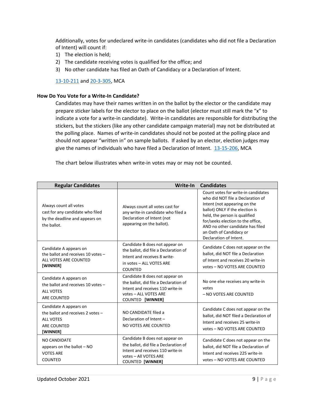Additionally, votes for undeclared write-in candidates (candidates who did not file a Declaration of Intent) will count if:

- 1) The election is held;
- 2) The candidate receiving votes is qualified for the office; and
- 3) No other candidate has filed an Oath of Candidacy or a Declaration of Intent.

[13-10-211](http://leg.mt.gov/bills/mca/title_0130/chapter_0100/part_0020/section_0110/0130-0100-0020-0110.html) an[d 20-3-305,](http://leg.mt.gov/bills/mca/title_0200/chapter_0030/part_0030/section_0050/0200-0030-0030-0050.html) MCA

## <span id="page-8-0"></span>**How Do You Vote for a Write-In Candidate?**

Candidates may have their names written in on the ballot by the elector or the candidate may prepare sticker labels for the elector to place on the ballot (elector must still mark the "x" to indicate a vote for a write-in candidate). Write-in candidates are responsible for distributing the stickers, but the stickers (like any other candidate campaign material) may not be distributed at the polling place. Names of write-in candidates should not be posted at the polling place and should not appear "written in" on sample ballots. If asked by an elector, election judges may give the names of individuals who have filed a Declaration of Intent. [13-15-206,](http://leg.mt.gov/bills/mca/title_0130/chapter_0150/part_0020/section_0060/0130-0150-0020-0060.html) MCA

The chart below illustrates when write-in votes may or may not be counted.

| <b>Regular Candidates</b>                                                                                         | Write-In                                                                                                                                                        | <b>Candidates</b>                                                                                                                                                                                                                                                                                          |
|-------------------------------------------------------------------------------------------------------------------|-----------------------------------------------------------------------------------------------------------------------------------------------------------------|------------------------------------------------------------------------------------------------------------------------------------------------------------------------------------------------------------------------------------------------------------------------------------------------------------|
| Always count all votes<br>cast for any candidate who filed<br>by the deadline and appears on<br>the ballot.       | Always count all votes cast for<br>any write-in candidate who filed a<br>Declaration of Intent (not<br>appearing on the ballot).                                | Count votes for write-in candidates<br>who did NOT file a Declaration of<br>Intent (not appearing on the<br>ballot) ONLY if the election is<br>held, the person is qualified<br>for/seeks election to the office,<br>AND no other candidate has filed<br>an Oath of Candidacy or<br>Declaration of Intent. |
| Candidate A appears on<br>the ballot and receives 10 votes -<br>ALL VOTES ARE COUNTED<br>[WINNER]                 | Candidate B does not appear on<br>the ballot, did file a Declaration of<br>Intent and receives 8 write-<br>in votes - ALL VOTES ARE<br><b>COUNTED</b>           | Candidate C does not appear on the<br>ballot, did NOT file a Declaration<br>of Intent and receives 20 write-in<br>votes - NO VOTES ARE COUNTED                                                                                                                                                             |
| Candidate A appears on<br>the ballot and receives 10 votes -<br><b>ALL VOTES</b><br>ARE COUNTED                   | Candidate B does not appear on<br>the ballot, did file a Declaration of<br>Intent and receives 110 write-in<br>votes - ALL VOTES ARE<br>COUNTED [WINNER]        | No one else receives any write-in<br>votes<br>- NO VOTES ARE COUNTED                                                                                                                                                                                                                                       |
| Candidate A appears on<br>the ballot and receives 2 votes -<br><b>ALL VOTES</b><br><b>ARE COUNTED</b><br>[WINNER] | NO CANDIDATE filed a<br>Declaration of Intent -<br>NO VOTES ARE COUNTED                                                                                         | Candidate C does not appear on the<br>ballot, did NOT filed a Declaration of<br>Intent and receives 25 write-in<br>votes - NO VOTES ARE COUNTED                                                                                                                                                            |
| <b>NO CANDIDATE</b><br>appears on the ballot $-$ NO<br><b>VOTES ARE</b><br><b>COUNTED</b>                         | Candidate B does not appear on<br>the ballot, did file a Declaration of<br>Intent and receives 110 write-in<br>votes - All VOTES ARE<br><b>COUNTED [WINNER]</b> | Candidate C does not appear on the<br>ballot, did NOT file a Declaration of<br>Intent and receives 225 write-in<br>votes - NO VOTES ARE COUNTED                                                                                                                                                            |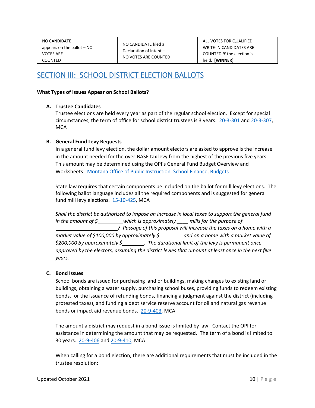| NO CANDIDATE                 |
|------------------------------|
| appears on the ballot $-$ NO |
| <b>VOTES ARE</b>             |
| COUNTED                      |

ALL VOTES FOR QUALIFIED WRITE-IN CANDIDATES ARE COUNTED *IF* the election is held. **[WINNER]**

## <span id="page-9-0"></span>SECTION III: SCHOOL DISTRICT ELECTION BALLOTS

## <span id="page-9-1"></span>**What Types of Issues Appear on School Ballots?**

## **A. Trustee Candidates**

Trustee elections are held every year as part of the regular school election. Except for special circumstances, the term of office for school district trustees is 3 years. [20-3-301](http://leg.mt.gov/bills/mca/title_0200/chapter_0030/part_0030/section_0010/0200-0030-0030-0010.html) and [20-3-307,](http://leg.mt.gov/bills/mca/title_0200/chapter_0030/part_0030/section_0070/0200-0030-0030-0070.html) **MCA** 

## **B. General Fund Levy Requests**

In a general fund levy election, the dollar amount electors are asked to approve is the increase in the amount needed for the over-BASE tax levy from the highest of the previous five years. This amount may be determined using the OPI's General Fund Budget Overview and Worksheets: [Montana Office of Public Instruction, School Finance, Budgets](http://opi.mt.gov/Leadership/Finance-Grants/School-Finance/School-Finance-Budgets)

State law requires that certain components be included on the ballot for mill levy elections. The following ballot language includes all the required components and is suggested for general fund mill levy elections. [15-10-425,](http://leg.mt.gov/bills/mca/title_0150/chapter_0100/part_0040/section_0250/0150-0100-0040-0250.html) MCA

*Shall the district be authorized to impose an increase in local taxes to support the general fund in the amount of \$ which is approximately \_\_\_\_ mills for the purpose of ? Passage of this proposal will increase the taxes on a home with a market value of \$100,000 by approximately \$ and on a home with a market value of \$200,000 by approximately \$ . The durational limit of the levy is permanent once approved by the electors, assuming the district levies that amount at least once in the next five years.*

## **C. Bond Issues**

School bonds are issued for purchasing land or buildings, making changes to existing land or buildings, obtaining a water supply, purchasing school buses, providing funds to redeem existing bonds, for the issuance of refunding bonds, financing a judgment against the district (including protested taxes), and funding a debt service reserve account for oil and natural gas revenue bonds or impact aid revenue bonds. [20-9-403,](http://leg.mt.gov/bills/mca/title_0200/chapter_0090/part_0040/section_0030/0200-0090-0040-0030.html) MCA

The amount a district may request in a bond issue is limited by law. Contact the OPI for assistance in determining the amount that may be requested. The term of a bond is limited to 30 years. [20-9-406](https://leg.mt.gov/bills/mca/title_0200/chapter_0090/part_0040/section_0060/0200-0090-0040-0060.html) and [20-9-410,](https://leg.mt.gov/bills/mca/title_0200/chapter_0090/part_0040/section_0100/0200-0090-0040-0100.html) MCA

When calling for a bond election, there are additional requirements that must be included in the trustee resolution: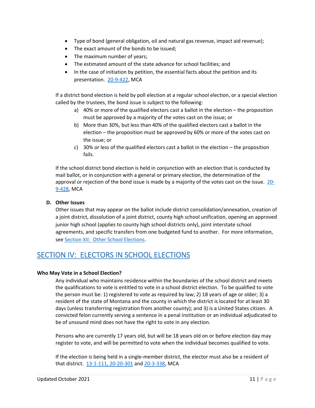- Type of bond (general obligation, oil and natural gas revenue, impact aid revenue);
- The exact amount of the bonds to be issued;
- The maximum number of years;
- The estimated amount of the state advance for school facilities; and
- In the case of initiation by petition, the essential facts about the petition and its presentation. [20-9-422,](https://leg.mt.gov/bills/mca/title_0200/chapter_0090/part_0040/section_0220/0200-0090-0040-0220.html) MCA

If a district bond election is held by poll election at a regular school election, or a special election called by the trustees, the bond issue is subject to the following:

- a) 40% or more of the qualified electors cast a ballot in the election the proposition must be approved by a majority of the votes cast on the issue; or
- b) More than 30%, but less than 40% of the qualified electors cast a ballot in the election – the proposition must be approved by 60% or more of the votes cast on the issue; or
- c) 30% or less of the qualified electors cast a ballot in the election the proposition fails.

If the school district bond election is held in conjunction with an election that is conducted by mail ballot, or in conjunction with a general or primary election, the determination of the approval or rejection of the bond issue is made by a majority of the votes cast on the issue. [20-](http://leg.mt.gov/bills/mca/title_0200/chapter_0090/part_0040/section_0280/0200-0090-0040-0280.html) [9-428,](http://leg.mt.gov/bills/mca/title_0200/chapter_0090/part_0040/section_0280/0200-0090-0040-0280.html) MCA

## **D. Other Issues**

Other issues that may appear on the ballot include district consolidation/annexation, creation of a joint district, dissolution of a joint district, county high school unification, opening an approved junior high school (applies to county high school districts only), joint interstate school agreements, and specific transfers from one budgeted fund to another. For more information, se[e Section XII: Other School Elections.](#page-30-4)

## <span id="page-10-0"></span>SECTION IV: ELECTORS IN SCHOOL ELECTIONS

## <span id="page-10-1"></span>**Who May Vote in a School Election?**

Any individual who maintains residence within the boundaries of the school district and meets the qualifications to vote is entitled to vote in a school district election. To be qualified to vote the person must be: 1) registered to vote as required by law; 2) 18 years of age or older; 3) a resident of the state of Montana and the county in which the district is located for at least 30 days (unless transferring registration from another county); and 3) is a United States citizen. A convicted felon currently serving a sentence in a penal institution or an individual adjudicated to be of unsound mind does not have the right to vote in any election.

Persons who are currently 17 years old, but will be 18 years old on or before election day may register to vote, and will be permitted to vote when the individual becomes qualified to vote.

If the election is being held in a single-member district, the elector must also be a resident of that district. [13-1-111,](http://leg.mt.gov/bills/mca/title_0130/chapter_0010/part_0010/section_0110/0130-0010-0010-0110.html) 20-20-301 an[d 20-3-338,](http://leg.mt.gov/bills/mca/title_0200/chapter_0030/part_0030/section_0380/0200-0030-0030-0380.html) MCA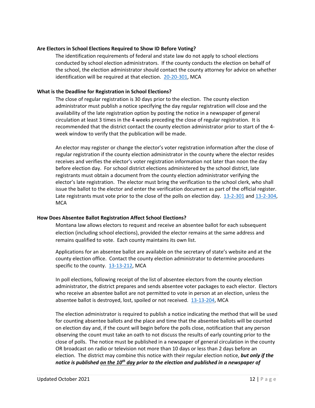## <span id="page-11-0"></span>**Are Electors in School Elections Required to Show ID Before Voting?**

The identification requirements of federal and state law do not apply to school elections conducted by school election administrators. If the county conducts the election on behalf of the school, the election administrator should contact the county attorney for advice on whether identification will be required at that election. [20-20-301,](http://leg.mt.gov/bills/mca/title_0200/chapter_0200/part_0030/section_0010/0200-0200-0030-0010.html) MCA

## <span id="page-11-1"></span>**What is the Deadline for Registration in School Elections?**

The close of regular registration is 30 days prior to the election. The county election administrator must publish a notice specifying the day regular registration will close and the availability of the late registration option by posting the notice in a newspaper of general circulation at least 3 times in the 4 weeks preceding the close of regular registration. It is recommended that the district contact the county election administrator prior to start of the 4 week window to verify that the publication will be made.

An elector may register or change the elector's voter registration information after the close of regular registration if the county election administrator in the county where the elector resides receives and verifies the elector's voter registration information not later than noon the day before election day. For school district elections administered by the school district, late registrants must obtain a document from the county election administrator verifying the elector's late registration. The elector must bring the verification to the school clerk, who shall issue the ballot to the elector and enter the verification document as part of the official register. Late registrants must vote prior to the close of the polls on election day. [13-2-301](http://leg.mt.gov/bills/mca/title_0130/chapter_0020/part_0030/section_0010/0130-0020-0030-0010.html) and [13-2-304,](http://leg.mt.gov/bills/mca/title_0130/chapter_0020/part_0030/section_0040/0130-0020-0030-0040.html) **MCA** 

## <span id="page-11-2"></span>**How Does Absentee Ballot Registration Affect School Elections?**

Montana law allows electors to request and receive an absentee ballot for each subsequent election (including school elections), provided the elector remains at the same address and remains qualified to vote. Each county maintains its own list.

Applications for an absentee ballot are available on the secretary of state's website and at the county election office. Contact the county election administrator to determine procedures specific to the county. [13-13-212,](http://leg.mt.gov/bills/mca/title_0130/chapter_0130/part_0020/section_0120/0130-0130-0020-0120.html) MCA

In poll elections, following receipt of the list of absentee electors from the county election administrator, the district prepares and sends absentee voter packages to each elector. Electors who receive an absentee ballot are not permitted to vote in person at an election, unless the absentee ballot is destroyed, lost, spoiled or not received. [13-13-204,](http://leg.mt.gov/bills/mca/title_0130/chapter_0130/part_0020/section_0040/0130-0130-0020-0040.html) MCA

The election administrator is required to publish a notice indicating the method that will be used for counting absentee ballots and the place and time that the absentee ballots will be counted on election day and, if the count will begin before the polls close, notification that any person observing the count must take an oath to not discuss the results of early counting prior to the close of polls. The notice must be published in a newspaper of general circulation in the county OR broadcast on radio or television not more than 10 days or less than 2 days before an election. The district may combine this notice with their regular election notice, *but only if the notice is published on the 10th day prior to the election and published in a newspaper of*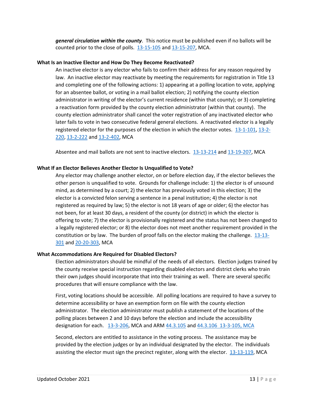*general circulation within the county*. This notice must be published even if no ballots will be counted prior to the close of polls. [13-15-105](http://leg.mt.gov/bills/mca/title_0130/chapter_0150/part_0010/section_0050/0130-0150-0010-0050.html) and [13-15-207,](https://leg.mt.gov/bills/mca/title_0130/chapter_0150/part_0020/section_0070/0130-0150-0020-0070.html) MCA.

## <span id="page-12-0"></span>**What Is an Inactive Elector and How Do They Become Reactivated?**

An inactive elector is any elector who fails to confirm their address for any reason required by law. An inactive elector may reactivate by meeting the requirements for registration in Title 13 and completing one of the following actions: 1) appearing at a polling location to vote, applying for an absentee ballot, or voting in a mail ballot election; 2) notifying the county election administrator in writing of the elector's current residence (within that county); or 3) completing a reactivation form provided by the county election administrator (within that county). The county election administrator shall cancel the voter registration of any inactivated elector who later fails to vote in two consecutive federal general elections. A reactivated elector is a legally registered elector for the purposes of the election in which the elector votes. [13-1-101,](http://leg.mt.gov/bills/mca/title_0130/chapter_0010/part_0010/section_0010/0130-0010-0010-0010.html) [13-2-](http://leg.mt.gov/bills/mca/title_0130/chapter_0020/part_0020/section_0200/0130-0020-0020-0200.html) [220,](http://leg.mt.gov/bills/mca/title_0130/chapter_0020/part_0020/section_0200/0130-0020-0020-0200.html) [13-2-222](http://leg.mt.gov/bills/mca/title_0130/chapter_0020/part_0020/section_0220/0130-0020-0020-0220.html) and [13-2-402,](http://leg.mt.gov/bills/mca/title_0130/chapter_0020/part_0040/section_0020/0130-0020-0040-0020.html) MCA

Absentee and mail ballots are not sent to inactive electors. [13-13-214](https://leg.mt.gov/bills/mca/title_0130/chapter_0130/part_0020/section_0140/0130-0130-0020-0140.html) and [13-19-207,](https://leg.mt.gov/bills/mca/title_0130/chapter_0190/part_0020/section_0070/0130-0190-0020-0070.html) MCA

## <span id="page-12-1"></span>**What If an Elector Believes Another Elector Is Unqualified to Vote?**

Any elector may challenge another elector, on or before election day, if the elector believes the other person is unqualified to vote. Grounds for challenge include: 1) the elector is of unsound mind, as determined by a court; 2) the elector has previously voted in this election; 3) the elector is a convicted felon serving a sentence in a penal institution; 4) the elector is not registered as required by law; 5) the elector is not 18 years of age or older; 6) the elector has not been, for at least 30 days, a resident of the county (or district) in which the elector is offering to vote; 7) the elector is provisionally registered and the status has not been changed to a legally registered elector; or 8) the elector does not meet another requirement provided in the constitution or by law. The burden of proof falls on the elector making the challenge. [13-13-](http://leg.mt.gov/bills/mca/title_0130/chapter_0130/part_0030/section_0010/0130-0130-0030-0010.html) [301](http://leg.mt.gov/bills/mca/title_0130/chapter_0130/part_0030/section_0010/0130-0130-0030-0010.html) an[d 20-20-303,](http://leg.mt.gov/bills/mca/title_0200/chapter_0200/part_0030/section_0030/0200-0200-0030-0030.html) MCA

## <span id="page-12-2"></span>**What Accommodations Are Required for Disabled Electors?**

Election administrators should be mindful of the needs of all electors. Election judges trained by the county receive special instruction regarding disabled electors and district clerks who train their own judges should incorporate that into their training as well. There are several specific procedures that will ensure compliance with the law.

First, voting locations should be accessible. All polling locations are required to have a survey to determine accessibility or have an exemption form on file with the county election administrator. The election administrator must publish a statement of the locations of the polling places between 2 and 10 days before the election and include the accessibility designation for each. [13-3-206,](https://leg.mt.gov/bills/mca/title_0130/chapter_0030/part_0020/section_0060/0130-0030-0020-0060.html) MCA and AR[M 44.3.105](http://www.mtrules.org/gateway/ruleno.asp?RN=44%2E3%2E105) and [44.3.106](http://www.mtrules.org/gateway/ruleno.asp?RN=44%2E3%2E106) 13-3-105, MCA

Second, electors are entitled to assistance in the voting process. The assistance may be provided by the election judges or by an individual designated by the elector. The individuals assisting the elector must sign the precinct register, along with the elector. [13-13-119,](https://leg.mt.gov/bills/mca/title_0130/chapter_0130/part_0010/section_0190/0130-0130-0010-0190.html) MCA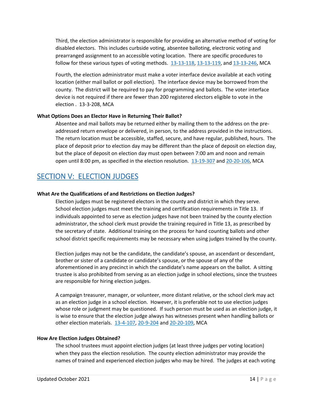Third, the election administrator is responsible for providing an alternative method of voting for disabled electors. This includes curbside voting, absentee balloting, electronic voting and prearranged assignment to an accessible voting location. There are specific procedures to follow for these various types of voting methods.  $13-13-118$ ,  $13-13-119$ , and  $13-13-246$ , MCA

Fourth, the election administrator must make a voter interface device available at each voting location (either mail ballot or poll election). The interface device may be borrowed from the county. The district will be required to pay for programming and ballots. The voter interface device is not required if there are fewer than 200 registered electors eligible to vote in the election . 13-3-208, MCA

## <span id="page-13-0"></span>**What Options Does an Elector Have in Returning Their Ballot?**

Absentee and mail ballots may be returned either by mailing them to the address on the preaddressed return envelope or delivered, in person, to the address provided in the instructions. The return location must be accessible, staffed, secure, and have regular, published, hours. The place of deposit prior to election day may be different than the place of deposit on election day, but the place of deposit on election day must open between 7:00 am and noon and remain open until 8:00 pm, as specified in the election resolution. [13-19-307](https://leg.mt.gov/bills/mca/title_0130/chapter_0190/part_0030/section_0070/0130-0190-0030-0070.html) and [20-20-106,](https://leg.mt.gov/bills/mca/title_0200/chapter_0200/part_0010/section_0060/0200-0200-0010-0060.html) MCA

## <span id="page-13-1"></span>SECTION V: ELECTION JUDGES

## <span id="page-13-2"></span>**What Are the Qualifications of and Restrictions on Election Judges?**

Election judges must be registered electors in the county and district in which they serve. School election judges must meet the training and certification requirements in Title 13. If individuals appointed to serve as election judges have not been trained by the county election administrator, the school clerk must provide the training required in Title 13, as prescribed by the secretary of state. Additional training on the process for hand counting ballots and other school district specific requirements may be necessary when using judges trained by the county.

Election judges may not be the candidate, the candidate's spouse, an ascendant or descendant, brother or sister of a candidate or candidate's spouse, or the spouse of any of the aforementioned in any precinct in which the candidate's name appears on the ballot. A sitting trustee is also prohibited from serving as an election judge in school elections, since the trustees are responsible for hiring election judges.

A campaign treasurer, manager, or volunteer, more distant relative, or the school clerk may act as an election judge in a school election. However, it is preferable not to use election judges whose role or judgment may be questioned. If such person must be used as an election judge, it is wise to ensure that the election judge always has witnesses present when handling ballots or other election materials. [13-4-107,](http://leg.mt.gov/bills/mca/title_0130/chapter_0040/part_0010/section_0070/0130-0040-0010-0070.html) [20-9-204](http://leg.mt.gov/bills/mca/title_0200/chapter_0090/part_0020/section_0040/0200-0090-0020-0040.html) and [20-20-109,](http://leg.mt.gov/bills/mca/title_0200/chapter_0200/part_0010/section_0090/0200-0200-0010-0090.html) MCA

## <span id="page-13-3"></span>**How Are Election Judges Obtained?**

The school trustees must appoint election judges (at least three judges per voting location) when they pass the election resolution. The county election administrator may provide the names of trained and experienced election judges who may be hired. The judges at each voting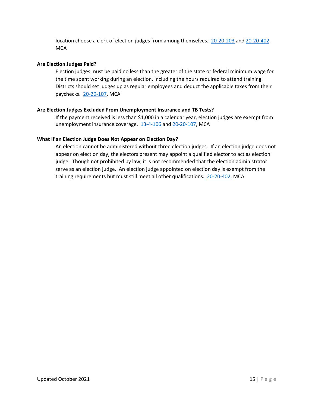location choose a clerk of election judges from among themselves. [20-20-203](http://leg.mt.gov/bills/mca/title_0200/chapter_0200/part_0020/section_0030/0200-0200-0020-0030.html) and [20-20-402,](http://leg.mt.gov/bills/mca/title_0200/chapter_0200/part_0040/section_0020/0200-0200-0040-0020.html) **MCA** 

## <span id="page-14-0"></span>**Are Election Judges Paid?**

Election judges must be paid no less than the greater of the state or federal minimum wage for the time spent working during an election, including the hours required to attend training. Districts should set judges up as regular employees and deduct the applicable taxes from their paychecks. [20-20-107,](http://leg.mt.gov/bills/mca/title_0200/chapter_0200/part_0010/section_0070/0200-0200-0010-0070.html) MCA

## <span id="page-14-1"></span>**Are Election Judges Excluded From Unemployment Insurance and TB Tests?**

If the payment received is less than \$1,000 in a calendar year, election judges are exempt from unemployment insurance coverage. [13-4-106](http://leg.mt.gov/bills/mca/title_0130/chapter_0040/part_0010/section_0060/0130-0040-0010-0060.html) and [20-20-107,](http://leg.mt.gov/bills/mca/title_0200/chapter_0200/part_0010/section_0070/0200-0200-0010-0070.html) MCA

## <span id="page-14-2"></span>**What If an Election Judge Does Not Appear on Election Day?**

An election cannot be administered without three election judges. If an election judge does not appear on election day, the electors present may appoint a qualified elector to act as election judge. Though not prohibited by law, it is not recommended that the election administrator serve as an election judge. An election judge appointed on election day is exempt from the training requirements but must still meet all other qualifications. [20-20-402,](http://leg.mt.gov/bills/mca/title_0200/chapter_0200/part_0040/section_0020/0200-0200-0040-0020.html) MCA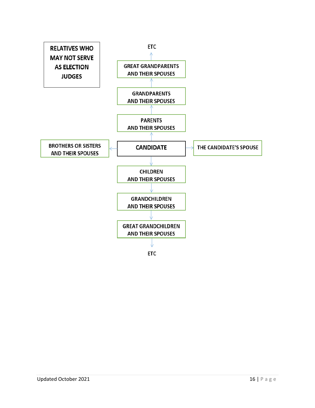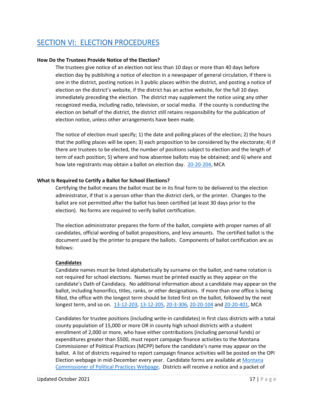# <span id="page-16-0"></span>SECTION VI: ELECTION PROCEDURES

## <span id="page-16-1"></span>**How Do the Trustees Provide Notice of the Election?**

The trustees give notice of an election not less than 10 days or more than 40 days before election day by publishing a notice of election in a newspaper of general circulation, if there is one in the district, posting notices in 3 public places within the district, and posting a notice of election on the district's website, if the district has an active website, for the full 10 days immediately preceding the election. The district may supplement the notice using any other recognized media, including radio, television, or social media. If the county is conducting the election on behalf of the district, the district still retains responsibility for the publication of election notice, unless other arrangements have been made.

The notice of election must specify; 1) the date and polling places of the election; 2) the hours that the polling places will be open; 3) each proposition to be considered by the electorate; 4) if there are trustees to be elected, the number of positions subject to election and the length of term of each position; 5) where and how absentee ballots may be obtained; and 6) where and how late registrants may obtain a ballot on election day. [20-20-204,](http://leg.mt.gov/bills/mca/title_0200/chapter_0200/part_0020/section_0040/0200-0200-0020-0040.html) MCA

## <span id="page-16-2"></span>**What Is Required to Certify a Ballot for School Elections?**

Certifying the ballot means the ballot must be in its final form to be delivered to the election administrator, if that is a person other than the district clerk, or the printer. Changes to the ballot are not permitted after the ballot has been certified (at least 30 days prior to the election). No forms are required to verify ballot certification.

The election administrator prepares the form of the ballot, complete with proper names of all candidates, official wording of ballot propositions, and levy amounts. The certified ballot is the document used by the printer to prepare the ballots. Components of ballot certification are as follows:

## **Candidates**

Candidate names must be listed alphabetically by surname on the ballot, and name rotation is not required for school elections. Names must be printed exactly as they appear on the candidate's Oath of Candidacy. No additional information about a candidate may appear on the ballot, including honorifics, titles, ranks, or other designations. If more than one office is being filled, the office with the longest term should be listed first on the ballot, followed by the next longest term, and so on. [13-12-203,](http://leg.mt.gov/bills/mca/title_0130/chapter_0120/part_0020/section_0030/0130-0120-0020-0030.html) [13-12-205,](http://leg.mt.gov/bills/mca/title_0130/chapter_0120/part_0020/section_0050/0130-0120-0020-0050.html) [20-3-306,](http://leg.mt.gov/bills/mca/title_0200/chapter_0030/part_0030/section_0060/0200-0030-0030-0060.html) [20-20-104](http://leg.mt.gov/bills/mca/title_0200/chapter_0200/part_0010/section_0040/0200-0200-0010-0040.html) and [20-20-401,](http://leg.mt.gov/bills/mca/title_0200/chapter_0200/part_0040/section_0010/0200-0200-0040-0010.html) MCA

Candidates for trustee positions (including write-in candidates) in first class districts with a total county population of 15,000 or more OR in county high school districts with a student enrollment of 2,000 or more, who have either contributions (including personal funds) or expenditures greater than \$500, must report campaign finance activities to the Montana Commissioner of Political Practices (MCPP) before the candidate's name may appear on the ballot. A list of districts required to report campaign finance activities will be posted on the OPI Election webpage in mid-December every year. Candidate forms are available at [Montana](http://politicalpractices.mt.gov/forms)  [Commissioner of Political Practices Webpage.](http://politicalpractices.mt.gov/forms) Districts will receive a notice and a packet of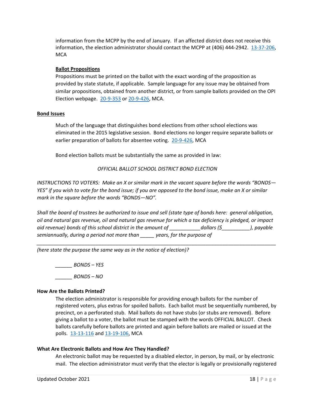information from the MCPP by the end of January. If an affected district does not receive this information, the election administrator should contact the MCPP at (406) 444-2942. [13-37-206,](http://leg.mt.gov/bills/mca/title_0130/chapter_0370/part_0020/section_0060/0130-0370-0020-0060.html) **MCA** 

## **Ballot Propositions**

Propositions must be printed on the ballot with the exact wording of the proposition as provided by state statute, if applicable. Sample language for any issue may be obtained from similar propositions, obtained from another district, or from sample ballots provided on the OPI Election webpage. [20-9-353](http://leg.mt.gov/bills/mca/title_0200/chapter_0090/part_0030/section_0530/0200-0090-0030-0530.html) o[r 20-9-426,](http://leg.mt.gov/bills/mca/title_0200/chapter_0090/part_0040/section_0260/0200-0090-0040-0260.html) MCA.

## **Bond Issues**

Much of the language that distinguishes bond elections from other school elections was eliminated in the 2015 legislative session. Bond elections no longer require separate ballots or earlier preparation of ballots for absentee voting. [20-9-426,](http://leg.mt.gov/bills/mca/title_0200/chapter_0090/part_0040/section_0260/0200-0090-0040-0260.html) MCA

Bond election ballots must be substantially the same as provided in law:

*OFFICIAL BALLOT SCHOOL DISTRICT BOND ELECTION*

*INSTRUCTIONS TO VOTERS: Make an X or similar mark in the vacant square before the words "BONDS— YES" if you wish to vote for the bond issue; if you are opposed to the bond issue, make an X or similar mark in the square before the words "BONDS—NO".*

*Shall the board of trustees be authorized to issue and sell (state type of bonds here: general obligation, oil and natural gas revenue, oil and natural gas revenue for which a tax deficiency is pledged, or impact aid revenue) bonds of this school district in the amount of \_\_\_\_\_\_\_\_\_\_\_dollars (\$\_\_\_\_\_\_\_\_\_\_), payable semiannually, during a period not more than \_\_\_\_\_ years, for the purpose of* 

*\_\_\_\_\_\_\_\_\_\_\_\_\_\_\_\_\_\_\_\_\_\_\_\_\_\_\_\_\_\_\_\_\_\_\_\_\_\_\_\_\_\_\_\_\_\_\_\_\_\_\_\_\_\_\_\_\_\_\_\_\_\_\_\_\_\_\_\_\_\_\_\_\_\_\_\_\_\_\_\_\_\_\_\_\_* 

*(here state the purpose the same way as in the notice of election)?*

*\_\_\_\_\_\_ BONDS – YES*

*\_\_\_\_\_\_ BONDS – NO* 

## <span id="page-17-0"></span>**How Are the Ballots Printed?**

The election administrator is responsible for providing enough ballots for the number of registered voters, plus extras for spoiled ballots. Each ballot must be sequentially numbered, by precinct, on a perforated stub. Mail ballots do not have stubs (or stubs are removed). Before giving a ballot to a voter, the ballot must be stamped with the words OFFICIAL BALLOT. Check ballots carefully before ballots are printed and again before ballots are mailed or issued at the polls. [13-13-116](http://leg.mt.gov/bills/mca/title_0130/chapter_0130/part_0010/section_0160/0130-0130-0010-0160.html) and [13-19-106,](http://leg.mt.gov/bills/mca/title_0130/chapter_0190/part_0010/section_0060/0130-0190-0010-0060.html) MCA

## <span id="page-17-1"></span>**What Are Electronic Ballots and How Are They Handled?**

An electronic ballot may be requested by a disabled elector, in person, by mail, or by electronic mail. The election administrator must verify that the elector is legally or provisionally registered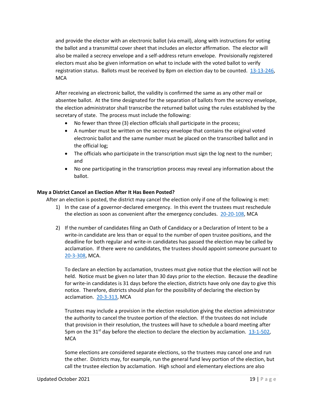and provide the elector with an electronic ballot (via email), along with instructions for voting the ballot and a transmittal cover sheet that includes an elector affirmation. The elector will also be mailed a secrecy envelope and a self-address return envelope. Provisionally registered electors must also be given information on what to include with the voted ballot to verify registration status. Ballots must be received by 8pm on election day to be counted. [13-13-246,](http://leg.mt.gov/bills/mca/title_0130/chapter_0130/part_0020/section_0460/0130-0130-0020-0460.html) **MCA** 

After receiving an electronic ballot, the validity is confirmed the same as any other mail or absentee ballot. At the time designated for the separation of ballots from the secrecy envelope, the election administrator shall transcribe the returned ballot using the rules established by the secretary of state. The process must include the following:

- No fewer than three (3) election officials shall participate in the process;
- A number must be written on the secrecy envelope that contains the original voted electronic ballot and the same number must be placed on the transcribed ballot and in the official log;
- The officials who participate in the transcription must sign the log next to the number; and
- No one participating in the transcription process may reveal any information about the ballot.

## <span id="page-18-0"></span>**May a District Cancel an Election After It Has Been Posted?**

After an election is posted, the district may cancel the election only if one of the following is met:

- 1) In the case of a governor-declared emergency. In this event the trustees must reschedule the election as soon as convenient after the emergency concludes. [20-20-108,](http://leg.mt.gov/bills/mca/title_0200/chapter_0200/part_0010/section_0080/0200-0200-0010-0080.html) MCA
- 2) If the number of candidates filing an Oath of Candidacy or a Declaration of Intent to be a write-in candidate are less than or equal to the number of open trustee positions, and the deadline for both regular and write-in candidates has passed the election may be called by acclamation. If there were no candidates, the trustees should appoint someone pursuant to [20-3-308,](http://leg.mt.gov/bills/mca/title_0200/chapter_0030/part_0030/section_0080/0200-0030-0030-0080.html) MCA.

To declare an election by acclamation, trustees must give notice that the election will not be held. Notice must be given no later than 30 days prior to the election. Because the deadline for write-in candidates is 31 days before the election, districts have only one day to give this notice. Therefore, districts should plan for the possibility of declaring the election by acclamation. [20-3-313,](http://leg.mt.gov/bills/mca/title_0200/chapter_0030/part_0030/section_0130/0200-0030-0030-0130.html) MCA

Trustees may include a provision in the election resolution giving the election administrator the authority to cancel the trustee portion of the election. If the trustees do not include that provision in their resolution, the trustees will have to schedule a board meeting after 5pm on the 31<sup>st</sup> day before the election to declare the election by acclamation.  $13\n-1\n-502$ , **MCA** 

Some elections are considered separate elections, so the trustees may cancel one and run the other. Districts may, for example, run the general fund levy portion of the election, but call the trustee election by acclamation. High school and elementary elections are also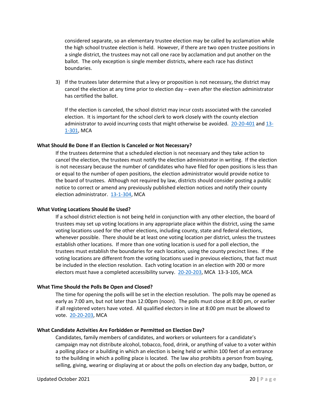considered separate, so an elementary trustee election may be called by acclamation while the high school trustee election is held. However, if there are two open trustee positions in a single district, the trustees may not call one race by acclamation and put another on the ballot. The only exception is single member districts, where each race has distinct boundaries.

3) If the trustees later determine that a levy or proposition is not necessary, the district may cancel the election at any time prior to election day – even after the election administrator has certified the ballot.

If the election is canceled, the school district may incur costs associated with the canceled election. It is important for the school clerk to work closely with the county election administrator to avoid incurring costs that might otherwise be avoided.  $20-20-401$  and  $13-$ [1-301,](http://leg.mt.gov/bills/mca/title_0130/chapter_0010/part_0010/section_0010/0130-0010-0010-0010.html) MCA

## <span id="page-19-0"></span>**What Should Be Done If an Election Is Canceled or Not Necessary?**

If the trustees determine that a scheduled election is not necessary and they take action to cancel the election, the trustees must notify the election administrator in writing. If the election is not necessary because the number of candidates who have filed for open positions is less than or equal to the number of open positions, the election administrator would provide notice to the board of trustees. Although not required by law, districts should consider posting a public notice to correct or amend any previously published election notices and notify their county election administrator. [13-1-304,](http://leg.mt.gov/bills/mca/title_0130/chapter_0010/part_0030/section_0040/0130-0010-0030-0040.html) MCA

#### <span id="page-19-1"></span>**What Voting Locations Should Be Used?**

If a school district election is not being held in conjunction with any other election, the board of trustees may set up voting locations in any appropriate place within the district, using the same voting locations used for the other elections, including county, state and federal elections, whenever possible. There should be at least one voting location per district, unless the trustees establish other locations. If more than one voting location is used for a poll election, the trustees must establish the boundaries for each location, using the county precinct lines. If the voting locations are different from the voting locations used in previous elections, that fact must be included in the election resolution. Each voting location in an election with 200 or more electors must have a completed accessibility survey. [20-20-203,](http://leg.mt.gov/bills/mca/title_0200/chapter_0200/part_0020/section_0030/0200-0200-0020-0030.html) MCA 13-3-105, MCA

#### <span id="page-19-2"></span>**What Time Should the Polls Be Open and Closed?**

The time for opening the polls will be set in the election resolution. The polls may be opened as early as 7:00 am, but not later than 12:00pm (noon). The polls must close at 8:00 pm, or earlier if all registered voters have voted. All qualified electors in line at 8:00 pm must be allowed to vote. [20-20-203,](http://leg.mt.gov/bills/mca/title_0200/chapter_0200/part_0020/section_0030/0200-0200-0020-0030.html) MCA

## <span id="page-19-3"></span>**What Candidate Activities Are Forbidden or Permitted on Election Day?**

Candidates, family members of candidates, and workers or volunteers for a candidate's campaign may not distribute alcohol, tobacco, food, drink, or anything of value to a voter within a polling place or a building in which an election is being held or within 100 feet of an entrance to the building in which a polling place is located. The law also prohibits a person from buying, selling, giving, wearing or displaying at or about the polls on election day any badge, button, or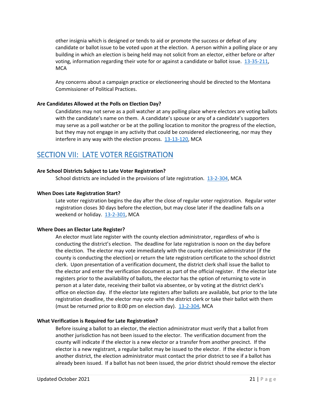other insignia which is designed or tends to aid or promote the success or defeat of any candidate or ballot issue to be voted upon at the election. A person within a polling place or any building in which an election is being held may not solicit from an elector, either before or after voting, information regarding their vote for or against a candidate or ballot issue. [13-35-211,](http://leg.mt.gov/bills/mca/title_0130/chapter_0350/part_0020/section_0110/0130-0350-0020-0110.html) **MCA** 

Any concerns about a campaign practice or electioneering should be directed to the Montana Commissioner of Political Practices.

## <span id="page-20-0"></span>**Are Candidates Allowed at the Polls on Election Day?**

Candidates may not serve as a poll watcher at any polling place where electors are voting ballots with the candidate's name on them. A candidate's spouse or any of a candidate's supporters may serve as a poll watcher or be at the polling location to monitor the progress of the election, but they may not engage in any activity that could be considered electioneering, nor may they interfere in any way with the election process. [13-13-120,](http://leg.mt.gov/bills/mca/title_0130/chapter_0130/part_0010/section_0200/0130-0130-0010-0200.html) MCA

## <span id="page-20-1"></span>SECTION VII: LATE VOTER REGISTRATION

## <span id="page-20-2"></span>**Are School Districts Subject to Late Voter Registration?**

School districts are included in the provisions of late registration. [13-2-304,](http://leg.mt.gov/bills/mca/title_0130/chapter_0020/part_0030/section_0040/0130-0020-0030-0040.html) MCA

## <span id="page-20-3"></span>**When Does Late Registration Start?**

Late voter registration begins the day after the close of regular voter registration. Regular voter registration closes 30 days before the election, but may close later if the deadline falls on a weekend or holiday. [13-2-301,](http://leg.mt.gov/bills/mca/title_0130/chapter_0020/part_0030/section_0010/0130-0020-0030-0010.html) MCA

#### <span id="page-20-4"></span>**Where Does an Elector Late Register?**

An elector must late register with the county election administrator, regardless of who is conducting the district's election. The deadline for late registration is noon on the day before the election. The elector may vote immediately with the county election administrator (if the county is conducting the election) or return the late registration certificate to the school district clerk. Upon presentation of a verification document, the district clerk shall issue the ballot to the elector and enter the verification document as part of the official register. If the elector late registers prior to the availability of ballots, the elector has the option of returning to vote in person at a later date, receiving their ballot via absentee, or by voting at the district clerk's office on election day. If the elector late registers after ballots are available, but prior to the late registration deadline, the elector may vote with the district clerk or take their ballot with them (must be returned prior to 8:00 pm on election day).  $13-2-304$ , MCA

#### <span id="page-20-5"></span>**What Verification is Required for Late Registration?**

Before issuing a ballot to an elector, the election administrator must verify that a ballot from another jurisdiction has not been issued to the elector. The verification document from the county will indicate if the elector is a new elector or a transfer from another precinct. If the elector is a new registrant, a regular ballot may be issued to the elector. If the elector is from another district, the election administrator must contact the prior district to see if a ballot has already been issued. If a ballot has not been issued, the prior district should remove the elector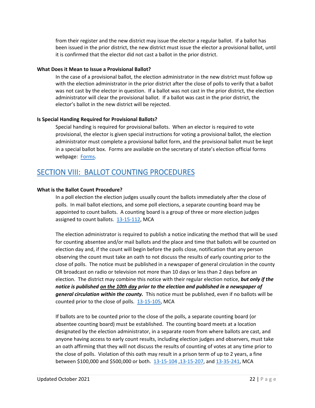from their register and the new district may issue the elector a regular ballot. If a ballot has been issued in the prior district, the new district must issue the elector a provisional ballot, until it is confirmed that the elector did not cast a ballot in the prior district.

## <span id="page-21-0"></span>**What Does it Mean to Issue a Provisional Ballot?**

In the case of a provisional ballot, the election administrator in the new district must follow up with the election administrator in the prior district after the close of polls to verify that a ballot was not cast by the elector in question. If a ballot was not cast in the prior district, the election administrator will clear the provisional ballot. If a ballot was cast in the prior district, the elector's ballot in the new district will be rejected.

## <span id="page-21-1"></span>**Is Special Handing Required for Provisional Ballots?**

Special handing is required for provisional ballots. When an elector is required to vote provisional, the elector is given special instructions for voting a provisional ballot, the election administrator must complete a provisional ballot form, and the provisional ballot must be kept in a special ballot box. Forms are available on the secretary of state's election official forms webpage: [Forms.](https://sosmt.gov/elections/official-forms/)

## <span id="page-21-2"></span>SECTION VIII: BALLOT COUNTING PROCEDURES

## <span id="page-21-3"></span>**What is the Ballot Count Procedure?**

In a poll election the election judges usually count the ballots immediately after the close of polls. In mail ballot elections, and some poll elections, a separate counting board may be appointed to count ballots. A counting board is a group of three or more election judges assigned to count ballots. [13-15-112,](https://leg.mt.gov/bills/mca/title_0130/chapter_0150/part_0010/section_0120/0130-0150-0010-0120.html) MCA

The election administrator is required to publish a notice indicating the method that will be used for counting absentee and/or mail ballots and the place and time that ballots will be counted on election day and, if the count will begin before the polls close, notification that any person observing the count must take an oath to not discuss the results of early counting prior to the close of polls. The notice must be published in a newspaper of general circulation in the county OR broadcast on radio or television not more than 10 days or less than 2 days before an election. The district may combine this notice with their regular election notice, *but only if the notice is published on the 10th day prior to the election and published in a newspaper of general circulation within the county.* This notice must be published, even if no ballots will be counted prior to the close of polls. [13-15-105,](https://leg.mt.gov/bills/mca/title_0130/chapter_0150/part_0010/section_0050/0130-0150-0010-0050.html) MCA

If ballots are to be counted prior to the close of the polls, a separate counting board (or absentee counting board) must be established. The counting board meets at a location designated by the election administrator, in a separate room from where ballots are cast, and anyone having access to early count results, including election judges and observers, must take an oath affirming that they will not discuss the results of counting of votes at any time prior to the close of polls. Violation of this oath may result in a prison term of up to 2 years, a fine between \$100,000 and \$500,000 or both. [13-15-104](http://leg.mt.gov/bills/mca/title_0130/chapter_0150/part_0010/section_0040/0130-0150-0010-0040.html) [,13-15-207,](http://leg.mt.gov/bills/mca/title_0130/chapter_0150/part_0020/section_0070/0130-0150-0020-0070.html) and [13-35-241,](https://leg.mt.gov/bills/mca/title_0130/chapter_0350/part_0020/section_0410/0130-0350-0020-0410.html) MCA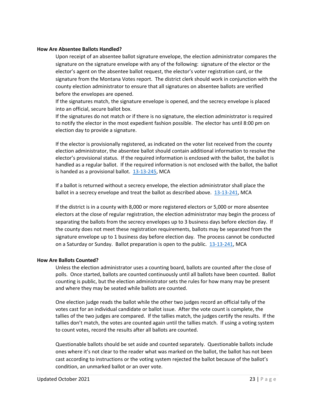## <span id="page-22-0"></span>**How Are Absentee Ballots Handled?**

Upon receipt of an absentee ballot signature envelope, the election administrator compares the signature on the signature envelope with any of the following: signature of the elector or the elector's agent on the absentee ballot request, the elector's voter registration card, or the signature from the Montana Votes report. The district clerk should work in conjunction with the county election administrator to ensure that all signatures on absentee ballots are verified before the envelopes are opened.

If the signatures match, the signature envelope is opened, and the secrecy envelope is placed into an official, secure ballot box.

If the signatures do not match or if there is no signature, the election administrator is required to notify the elector in the most expedient fashion possible. The elector has until 8:00 pm on election day to provide a signature.

If the elector is provisionally registered, as indicated on the voter list received from the county election administrator, the absentee ballot should contain additional information to resolve the elector's provisional status. If the required information is enclosed with the ballot, the ballot is handled as a regular ballot. If the required information is not enclosed with the ballot, the ballot is handed as a provisional ballot. [13-13-245,](https://leg.mt.gov/bills/mca/title_0130/chapter_0130/part_0020/section_0450/0130-0130-0020-0450.html) MCA

If a ballot is returned without a secrecy envelope, the election administrator shall place the ballot in a secrecy envelope and treat the ballot as described above. [13-13-241,](http://leg.mt.gov/bills/mca/title_0130/chapter_0130/part_0020/section_0410/0130-0130-0020-0410.html) MCA

If the district is in a county with 8,000 or more registered electors or 5,000 or more absentee electors at the close of regular registration, the election administrator may begin the process of separating the ballots from the secrecy envelopes up to 3 business days before election day. If the county does not meet these registration requirements, ballots may be separated from the signature envelope up to 1 business day before election day. The process cannot be conducted on a Saturday or Sunday. Ballot preparation is open to the public. [13-13-241,](https://leg.mt.gov/bills/mca/title_0130/chapter_0130/part_0020/section_0410/0130-0130-0020-0410.html) MCA

#### <span id="page-22-1"></span>**How Are Ballots Counted?**

Unless the election administrator uses a counting board, ballots are counted after the close of polls. Once started, ballots are counted continuously until all ballots have been counted. Ballot counting is public, but the election administrator sets the rules for how many may be present and where they may be seated while ballots are counted.

One election judge reads the ballot while the other two judges record an official tally of the votes cast for an individual candidate or ballot issue. After the vote count is complete, the tallies of the two judges are compared. If the tallies match, the judges certify the results. If the tallies don't match, the votes are counted again until the tallies match. If using a voting system to count votes, record the results after all ballots are counted.

Questionable ballots should be set aside and counted separately. Questionable ballots include ones where it's not clear to the reader what was marked on the ballot, the ballot has not been cast according to instructions or the voting system rejected the ballot because of the ballot's condition, an unmarked ballot or an over vote.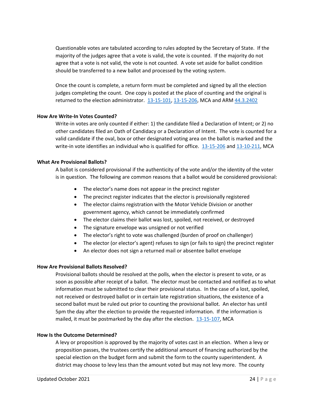Questionable votes are tabulated according to rules adopted by the Secretary of State. If the majority of the judges agree that a vote is valid, the vote is counted. If the majority do not agree that a vote is not valid, the vote is not counted. A vote set aside for ballot condition should be transferred to a new ballot and processed by the voting system.

Once the count is complete, a return form must be completed and signed by all the election judges completing the count. One copy is posted at the place of counting and the original is returned to the election administrator. [13-15-101,](http://leg.mt.gov/bills/mca/title_0130/chapter_0150/part_0010/section_0010/0130-0150-0010-0010.html) [13-15-206,](http://leg.mt.gov/bills/mca/title_0130/chapter_0150/part_0020/section_0060/0130-0150-0020-0060.html) MCA and ARM [44.3.2402](http://www.mtrules.org/gateway/ruleno.asp?RN=44%2E3%2E2402)

## <span id="page-23-0"></span>**How Are Write-In Votes Counted?**

Write-in votes are only counted if either: 1) the candidate filed a Declaration of Intent; or 2) no other candidates filed an Oath of Candidacy or a Declaration of Intent. The vote is counted for a valid candidate if the oval, box or other designated voting area on the ballot is marked and the write-in vote identifies an individual who is qualified for office. [13-15-206](http://leg.mt.gov/bills/mca/title_0130/chapter_0150/part_0020/section_0060/0130-0150-0020-0060.html) and [13-10-211,](http://leg.mt.gov/bills/mca/title_0130/chapter_0100/part_0020/section_0110/0130-0100-0020-0110.html) MCA

## <span id="page-23-1"></span>**What Are Provisional Ballots?**

A ballot is considered provisional if the authenticity of the vote and/or the identity of the voter is in question. The following are common reasons that a ballot would be considered provisional:

- The elector's name does not appear in the precinct register
- The precinct register indicates that the elector is provisionally registered
- The elector claims registration with the Motor Vehicle Division or another government agency, which cannot be immediately confirmed
- The elector claims their ballot was lost, spoiled, not received, or destroyed
- The signature envelope was unsigned or not verified
- The elector's right to vote was challenged (burden of proof on challenger)
- The elector (or elector's agent) refuses to sign (or fails to sign) the precinct register
- An elector does not sign a returned mail or absentee ballot envelope

## <span id="page-23-2"></span>**How Are Provisional Ballots Resolved?**

Provisional ballots should be resolved at the polls, when the elector is present to vote, or as soon as possible after receipt of a ballot. The elector must be contacted and notified as to what information must be submitted to clear their provisional status. In the case of a lost, spoiled, not received or destroyed ballot or in certain late registration situations, the existence of a second ballot must be ruled out prior to counting the provisional ballot. An elector has until 5pm the day after the election to provide the requested information. If the information is mailed, it must be postmarked by the day after the election.  $13-15-107$ , MCA

#### <span id="page-23-3"></span>**How Is the Outcome Determined?**

A levy or proposition is approved by the majority of votes cast in an election. When a levy or proposition passes, the trustees certify the additional amount of financing authorized by the special election on the budget form and submit the form to the county superintendent. A district may choose to levy less than the amount voted but may not levy more. The county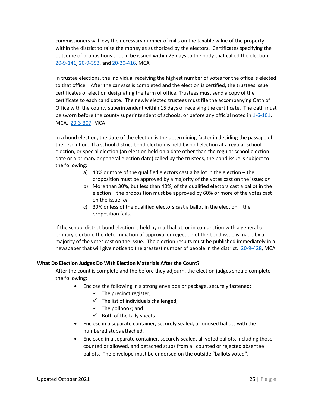commissioners will levy the necessary number of mills on the taxable value of the property within the district to raise the money as authorized by the electors. Certificates specifying the outcome of propositions should be issued within 25 days to the body that called the election. [20-9-141,](http://leg.mt.gov/bills/mca/title_0200/chapter_0090/part_0010/section_0410/0200-0090-0010-0410.html) [20-9-353,](http://leg.mt.gov/bills/mca/title_0200/chapter_0090/part_0030/section_0530/0200-0090-0030-0530.html) and [20-20-416,](https://leg.mt.gov/bills/mca/title_0200/chapter_0200/part_0040/section_0160/0200-0200-0040-0160.html) MCA

In trustee elections, the individual receiving the highest number of votes for the office is elected to that office. After the canvass is completed and the election is certified, the trustees issue certificates of election designating the term of office. Trustees must send a copy of the certificate to each candidate. The newly elected trustees must file the accompanying Oath of Office with the county superintendent within 15 days of receiving the certificate. The oath must be sworn before the county superintendent of schools, or before any official noted in [1-6-101,](http://leg.mt.gov/bills/mca/title_0010/chapter_0060/part_0010/section_0010/0010-0060-0010-0010.html) MCA. [20-3-307,](https://leg.mt.gov/bills/mca/title_0200/chapter_0030/part_0030/section_0070/0200-0030-0030-0070.html) MCA

In a bond election, the date of the election is the determining factor in deciding the passage of the resolution. If a school district bond election is held by poll election at a regular school election, or special election (an election held on a date other than the regular school election date or a primary or general election date) called by the trustees, the bond issue is subject to the following:

- a) 40% or more of the qualified electors cast a ballot in the election the proposition must be approved by a majority of the votes cast on the issue; *or*
- b) More than 30%, but less than 40%, of the qualified electors cast a ballot in the election – the proposition must be approved by 60% or more of the votes cast on the issue; *or*
- c) 30% or less of the qualified electors cast a ballot in the election the proposition fails.

If the school district bond election is held by mail ballot, or in conjunction with a general or primary election, the determination of approval or rejection of the bond issue is made by a majority of the votes cast on the issue. The election results must be published immediately in a newspaper that will give notice to the greatest number of people in the district. [20-9-428,](http://leg.mt.gov/bills/mca/title_0200/chapter_0090/part_0040/section_0280/0200-0090-0040-0280.html) MCA

## <span id="page-24-0"></span>**What Do Election Judges Do With Election Materials After the Count?**

After the count is complete and the before they adjourn, the election judges should complete the following:

- Enclose the following in a strong envelope or package, securely fastened:
	- $\checkmark$  The precinct register;
	- $\checkmark$  The list of individuals challenged;
	- $\checkmark$  The pollbook; and
	- $\checkmark$  Both of the tally sheets
- Enclose in a separate container, securely sealed, all unused ballots with the numbered stubs attached.
- Enclosed in a separate container, securely sealed, all voted ballots, including those counted or allowed, and detached stubs from all counted or rejected absentee ballots. The envelope must be endorsed on the outside "ballots voted".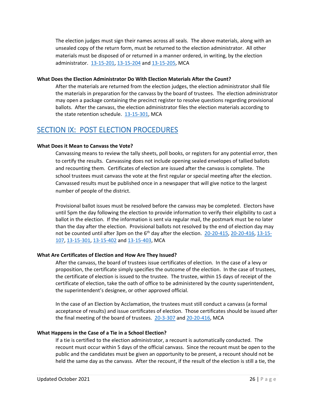The election judges must sign their names across all seals. The above materials, along with an unsealed copy of the return form, must be returned to the election administrator. All other materials must be disposed of or returned in a manner ordered, in writing, by the election administrator. [13-15-201,](http://leg.mt.gov/bills/mca/title_0130/chapter_0150/part_0020/section_0010/0130-0150-0020-0010.html) [13-15-204](http://leg.mt.gov/bills/mca/title_0130/chapter_0150/part_0020/section_0040/0130-0150-0020-0040.html) and [13-15-205,](http://leg.mt.gov/bills/mca/title_0130/chapter_0150/part_0020/section_0050/0130-0150-0020-0050.html) MCA

## <span id="page-25-0"></span>**What Does the Election Administrator Do With Election Materials After the Count?**

After the materials are returned from the election judges, the election administrator shall file the materials in preparation for the canvass by the board of trustees. The election administrator may open a package containing the precinct register to resolve questions regarding provisional ballots. After the canvass, the election administrator files the election materials according to the state retention schedule. [13-15-301,](http://leg.mt.gov/bills/mca/title_0130/chapter_0150/part_0030/section_0010/0130-0150-0030-0010.html) MCA

## <span id="page-25-1"></span>SECTION IX: POST ELECTION PROCEDURES

## <span id="page-25-2"></span>**What Does it Mean to Canvass the Vote?**

Canvassing means to review the tally sheets, poll books, or registers for any potential error, then to certify the results. Canvassing does not include opening sealed envelopes of tallied ballots and recounting them. Certificates of election are issued after the canvass is complete. The school trustees must canvass the vote at the first regular or special meeting after the election. Canvassed results must be published once in a newspaper that will give notice to the largest number of people of the district.

Provisional ballot issues must be resolved before the canvass may be completed. Electors have until 5pm the day following the election to provide information to verify their eligibility to cast a ballot in the election. If the information is sent via regular mail, the postmark must be no later than the day after the election. Provisional ballots not resolved by the end of election day may not be counted until after 3pm on the  $6<sup>th</sup>$  day after the election. [20-20-415,](http://leg.mt.gov/bills/mca/title_0200/chapter_0200/part_0040/section_0150/0200-0200-0040-0150.html) [20-20-416,](http://leg.mt.gov/bills/mca/title_0200/chapter_0200/part_0040/section_0160/0200-0200-0040-0160.html) [13-15-](http://leg.mt.gov/bills/mca/title_0130/chapter_0150/part_0010/section_0070/0130-0150-0010-0070.html) [107,](http://leg.mt.gov/bills/mca/title_0130/chapter_0150/part_0010/section_0070/0130-0150-0010-0070.html) [13-15-301,](http://leg.mt.gov/bills/mca/title_0130/chapter_0150/part_0030/section_0010/0130-0150-0030-0010.html) [13-15-402](http://leg.mt.gov/bills/mca/title_0130/chapter_0150/part_0040/section_0020/0130-0150-0040-0020.html) an[d 13-15-403,](http://leg.mt.gov/bills/mca/title_0130/chapter_0150/part_0040/section_0030/0130-0150-0040-0030.html) MCA

## <span id="page-25-3"></span>**What Are Certificates of Election and How Are They Issued?**

After the canvass, the board of trustees issue certificates of election. In the case of a levy or proposition, the certificate simply specifies the outcome of the election. In the case of trustees, the certificate of election is issued to the trustee. The trustee, within 15 days of receipt of the certificate of election, take the oath of office to be administered by the county superintendent, the superintendent's designee, or other approved official.

In the case of an Election by Acclamation, the trustees must still conduct a canvass (a formal acceptance of results) and issue certificates of election. Those certificates should be issued after the final meeting of the board of trustees. [20-3-307](http://leg.mt.gov/bills/mca/title_0200/chapter_0030/part_0030/section_0070/0200-0030-0030-0070.html) an[d 20-20-416,](http://leg.mt.gov/bills/mca/title_0200/chapter_0200/part_0040/section_0160/0200-0200-0040-0160.html) MCA

#### <span id="page-25-4"></span>**What Happens in the Case of a Tie in a School Election?**

If a tie is certified to the election administrator, a recount is automatically conducted. The recount must occur within 5 days of the official canvass. Since the recount must be open to the public and the candidates must be given an opportunity to be present, a recount should not be held the same day as the canvass. After the recount, if the result of the election is still a tie, the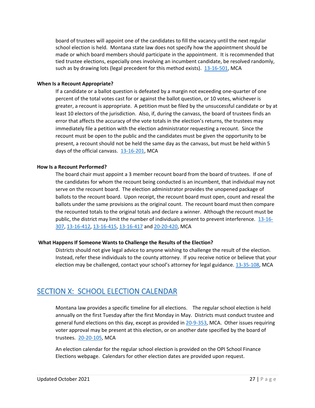board of trustees will appoint one of the candidates to fill the vacancy until the next regular school election is held. Montana state law does not specify how the appointment should be made or which board members should participate in the appointment. It is recommended that tied trustee elections, especially ones involving an incumbent candidate, be resolved randomly, such as by drawing lots (legal precedent for this method exists). [13-16-501,](http://leg.mt.gov/bills/mca/title_0130/chapter_0160/part_0050/section_0010/0130-0160-0050-0010.html) MCA

## <span id="page-26-0"></span>**When Is a Recount Appropriate?**

If a candidate or a ballot question is defeated by a margin not exceeding one-quarter of one percent of the total votes cast for or against the ballot question, or 10 votes, whichever is greater, a recount is appropriate. A petition must be filed by the unsuccessful candidate or by at least 10 electors of the jurisdiction. Also, if, during the canvass, the board of trustees finds an error that affects the accuracy of the vote totals in the election's returns, the trustees may immediately file a petition with the election administrator requesting a recount. Since the recount must be open to the public and the candidates must be given the opportunity to be present, a recount should not be held the same day as the canvass, but must be held within 5 days of the official canvass. [13-16-201,](http://leg.mt.gov/bills/mca/title_0130/chapter_0160/part_0020/section_0010/0130-0160-0020-0010.html) MCA

## <span id="page-26-1"></span>**How Is a Recount Performed?**

The board chair must appoint a 3 member recount board from the board of trustees. If one of the candidates for whom the recount being conducted is an incumbent, that individual may not serve on the recount board. The election administrator provides the unopened package of ballots to the recount board. Upon receipt, the recount board must open, count and reseal the ballots under the same provisions as the original count. The recount board must then compare the recounted totals to the original totals and declare a winner. Although the recount must be public, the district may limit the number of individuals present to prevent interference. [13-16-](http://leg.mt.gov/bills/mca/title_0130/chapter_0160/part_0030/section_0070/0130-0160-0030-0070.html) [307,](http://leg.mt.gov/bills/mca/title_0130/chapter_0160/part_0030/section_0070/0130-0160-0030-0070.html) [13-16-412,](http://leg.mt.gov/bills/mca/title_0130/chapter_0160/part_0040/section_0120/0130-0160-0040-0120.html) [13-16-415,](http://leg.mt.gov/bills/mca/title_0130/chapter_0160/part_0040/section_0150/0130-0160-0040-0150.html) [13-16-417](http://leg.mt.gov/bills/mca/title_0130/chapter_0160/part_0040/section_0170/0130-0160-0040-0170.html) an[d 20-20-420,](http://leg.mt.gov/bills/mca/title_0200/chapter_0200/part_0040/section_0200/0200-0200-0040-0200.html) MCA

## <span id="page-26-2"></span>**What Happens If Someone Wants to Challenge the Results of the Election?**

Districts should not give legal advice to anyone wishing to challenge the result of the election. Instead, refer these individuals to the county attorney. If you receive notice or believe that your election may be challenged, contact your school's attorney for legal guidance. [13-35-108,](https://leg.mt.gov/bills/mca/title_0130/chapter_0350/part_0010/section_0080/0130-0350-0010-0080.html) MCA

## <span id="page-26-3"></span>SECTION X: SCHOOL ELECTION CALENDAR

Montana law provides a specific timeline for all elections. The regular school election is held annually on the first Tuesday after the first Monday in May. Districts must conduct trustee and general fund elections on this day, except as provided in [20-9-353,](http://leg.mt.gov/bills/mca/title_0200/chapter_0090/part_0030/section_0530/0200-0090-0030-0530.html) MCA. Other issues requiring voter approval may be present at this election, or on another date specified by the board of trustees. [20-20-105,](http://leg.mt.gov/bills/mca/title_0200/chapter_0200/part_0010/section_0050/0200-0200-0010-0050.html) MCA

An election calendar for the regular school election is provided on the OPI School Finance Elections webpage. Calendars for other election dates are provided upon request.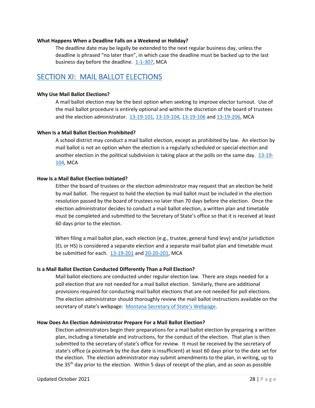#### <span id="page-27-0"></span>**What Happens When a Deadline Falls on a Weekend or Holiday?**

The deadline date may be legally be extended to the next regular business day, unless the deadline is phrased "no later than", in which case the deadline must be backed up to the last business day before the deadline. [1-1-307,](http://leg.mt.gov/bills/mca/title_0010/chapter_0010/part_0030/section_0070/0010-0010-0030-0070.html) MCA

## <span id="page-27-1"></span>SECTION XI: MAIL BALLOT ELECTIONS

## <span id="page-27-2"></span>**Why Use Mail Ballot Elections?**

A mail ballot election may be the best option when seeking to improve elector turnout. Use of the mail ballot procedure is entirely optional and within the discretion of the board of trustees and the election administrator. [13-19-101,](http://leg.mt.gov/bills/mca/title_0130/chapter_0190/part_0010/section_0010/0130-0190-0010-0010.html) [13-19-104,](http://leg.mt.gov/bills/mca/title_0130/chapter_0190/part_0010/section_0040/0130-0190-0010-0040.html) [13-19-106](http://leg.mt.gov/bills/mca/title_0130/chapter_0190/part_0010/section_0060/0130-0190-0010-0060.html) an[d 13-19-206,](http://leg.mt.gov/bills/mca/title_0130/chapter_0190/part_0020/section_0060/0130-0190-0020-0060.html) MCA

## <span id="page-27-3"></span>**When Is a Mail Ballot Election Prohibited?**

A school district may conduct a mail ballot election, except as prohibited by law. An election by mail ballot is not an option when the election is a regularly scheduled or special election and another election in the political subdivision is taking place at the polls on the same day. [13-19-](http://leg.mt.gov/bills/mca/title_0130/chapter_0190/part_0010/section_0040/0130-0190-0010-0040.html) [104,](http://leg.mt.gov/bills/mca/title_0130/chapter_0190/part_0010/section_0040/0130-0190-0010-0040.html) MCA

## <span id="page-27-4"></span>**How Is a Mail Ballot Election Initiated?**

Either the board of trustees or the election administrator may request that an election be held by mail ballot. The request to hold the election by mail ballot must be included in the election resolution passed by the board of trustees no later than 70 days before the election. Once the election administrator decides to conduct a mail ballot election, a written plan and timetable must be completed and submitted to the Secretary of State's office so that it is received at least 60 days prior to the election.

When filing a mail ballot plan, each election (e.g., trustee, general fund levy) and/or jurisdiction (EL or HS) is considered a separate election and a separate mail ballot plan and timetable must be submitted for each. [13-19-201](http://leg.mt.gov/bills/mca/title_0130/chapter_0190/part_0020/section_0010/0130-0190-0020-0010.html) and [20-20-201,](http://leg.mt.gov/bills/mca/title_0200/chapter_0200/part_0020/section_0010/0200-0200-0020-0010.html) MCA

## <span id="page-27-5"></span>**Is a Mail Ballot Election Conducted Differently Than a Poll Election?**

Mail ballot elections are conducted under regular election law. There are steps needed for a poll election that are not needed for a mail ballot election. Similarly, there are additional provisions required for conducting mail ballot elections that are not needed for poll elections. The election administrator should thoroughly review the mail ballot instructions available on the secretary of state's webpage: [Montana Secretary of State's Webpage.](http://sos.mt.gov/elections)

## <span id="page-27-6"></span>**How Does An Election Administrator Prepare For a Mail Ballot Election?**

Election administrators begin their preparations for a mail ballot election by preparing a written plan, including a timetable and instructions, for the conduct of the election. That plan is then submitted to the secretary of state's office for review. It must be received by the secretary of state's office (a postmark by the due date is insufficient) at least 60 days prior to the date set for the election. The election administrator may submit amendments to the plan, in writing, up to the  $35<sup>th</sup>$  day prior to the election. Within 5 days of receipt of the plan, and as soon as possible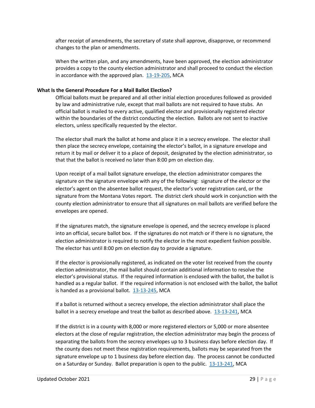after receipt of amendments, the secretary of state shall approve, disapprove, or recommend changes to the plan or amendments.

When the written plan, and any amendments, have been approved, the election administrator provides a copy to the county election administrator and shall proceed to conduct the election in accordance with the approved plan.  $13-19-205$ , MCA

## <span id="page-28-0"></span>**What Is the General Procedure For a Mail Ballot Election?**

Official ballots must be prepared and all other initial election procedures followed as provided by law and administrative rule, except that mail ballots are not required to have stubs. An official ballot is mailed to every active, qualified elector and provisionally registered elector within the boundaries of the district conducting the election. Ballots are not sent to inactive electors, unless specifically requested by the elector.

The elector shall mark the ballot at home and place it in a secrecy envelope. The elector shall then place the secrecy envelope, containing the elector's ballot, in a signature envelope and return it by mail or deliver it to a place of deposit, designated by the election administrator, so that that the ballot is received no later than 8:00 pm on election day.

Upon receipt of a mail ballot signature envelope, the election administrator compares the signature on the signature envelope with any of the following: signature of the elector or the elector's agent on the absentee ballot request, the elector's voter registration card, or the signature from the Montana Votes report. The district clerk should work in conjunction with the county election administrator to ensure that all signatures on mail ballots are verified before the envelopes are opened.

If the signatures match, the signature envelope is opened, and the secrecy envelope is placed into an official, secure ballot box. If the signatures do not match or if there is no signature, the election administrator is required to notify the elector in the most expedient fashion possible. The elector has until 8:00 pm on election day to provide a signature.

If the elector is provisionally registered, as indicated on the voter list received from the county election administrator, the mail ballot should contain additional information to resolve the elector's provisional status. If the required information is enclosed with the ballot, the ballot is handled as a regular ballot. If the required information is not enclosed with the ballot, the ballot is handed as a provisional ballot. [13-13-245,](https://leg.mt.gov/bills/mca/title_0130/chapter_0130/part_0020/section_0450/0130-0130-0020-0450.html) MCA

If a ballot is returned without a secrecy envelope, the election administrator shall place the ballot in a secrecy envelope and treat the ballot as described above. [13-13-241,](http://leg.mt.gov/bills/mca/title_0130/chapter_0130/part_0020/section_0410/0130-0130-0020-0410.html) MCA

If the district is in a county with 8,000 or more registered electors or 5,000 or more absentee electors at the close of regular registration, the election administrator may begin the process of separating the ballots from the secrecy envelopes up to 3 business days before election day. If the county does not meet these registration requirements, ballots may be separated from the signature envelope up to 1 business day before election day. The process cannot be conducted on a Saturday or Sunday. Ballot preparation is open to the public. [13-13-241,](https://leg.mt.gov/bills/mca/title_0130/chapter_0130/part_0020/section_0410/0130-0130-0020-0410.html) MCA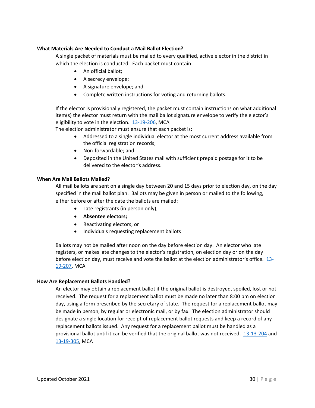## <span id="page-29-0"></span>**What Materials Are Needed to Conduct a Mail Ballot Election?**

A single packet of materials must be mailed to every qualified, active elector in the district in which the election is conducted. Each packet must contain:

- An official ballot;
- A secrecy envelope;
- A signature envelope; and
- Complete written instructions for voting and returning ballots.

If the elector is provisionally registered, the packet must contain instructions on what additional item(s) the elector must return with the mail ballot signature envelope to verify the elector's eligibility to vote in the election. [13-19-206,](http://leg.mt.gov/bills/mca/title_0130/chapter_0190/part_0020/section_0060/0130-0190-0020-0060.html) MCA

The election administrator must ensure that each packet is:

- Addressed to a single individual elector at the most current address available from the official registration records;
- Non-forwardable; and
- Deposited in the United States mail with sufficient prepaid postage for it to be delivered to the elector's address.

## <span id="page-29-1"></span>**When Are Mail Ballots Mailed?**

All mail ballots are sent on a single day between 20 and 15 days prior to election day, on the day specified in the mail ballot plan. Ballots may be given in person or mailed to the following, either before or after the date the ballots are mailed:

- Late registrants (in person only);
- **Absentee electors;**
- Reactivating electors; or
- Individuals requesting replacement ballots

Ballots may not be mailed after noon on the day before election day. An elector who late registers, or makes late changes to the elector's registration, on election day or on the day before election day, must receive and vote the ballot at the election administrator's office. [13-](http://leg.mt.gov/bills/mca/title_0130/chapter_0190/part_0020/section_0070/0130-0190-0020-0070.html) [19-207,](http://leg.mt.gov/bills/mca/title_0130/chapter_0190/part_0020/section_0070/0130-0190-0020-0070.html) MCA

## <span id="page-29-2"></span>**How Are Replacement Ballots Handled?**

An elector may obtain a replacement ballot if the original ballot is destroyed, spoiled, lost or not received. The request for a replacement ballot must be made no later than 8:00 pm on election day, using a form prescribed by the secretary of state. The request for a replacement ballot may be made in person, by regular or electronic mail, or by fax. The election administrator should designate a single location for receipt of replacement ballot requests and keep a record of any replacement ballots issued. Any request for a replacement ballot must be handled as a provisional ballot until it can be verified that the original ballot was not received. [13-13-204](http://leg.mt.gov/bills/mca/title_0130/chapter_0130/part_0020/section_0040/0130-0130-0020-0040.html) and [13-19-305,](http://leg.mt.gov/bills/mca/title_0130/chapter_0190/part_0030/section_0050/0130-0190-0030-0050.html) MCA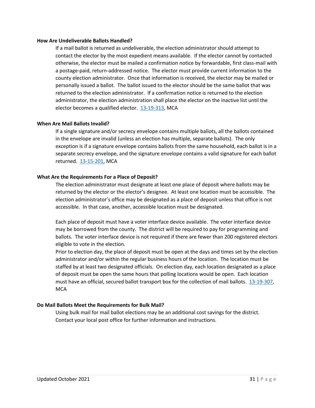#### <span id="page-30-0"></span>**How Are Undeliverable Ballots Handled?**

If a mail ballot is returned as undeliverable, the election administrator should attempt to contact the elector by the most expedient means available. If the elector cannot by contacted otherwise, the elector must be mailed a confirmation notice by forwardable, first class-mail with a postage-paid, return-addressed notice. The elector must provide current information to the county election administrator. Once that information is received, the elector may be mailed or personally issued a ballot. The ballot issued to the elector should be the same ballot that was returned to the election administrator. If a confirmation notice is returned to the election administrator, the election administration shall place the elector on the inactive list until the elector becomes a qualified elector. [13-19-313,](http://leg.mt.gov/bills/mca/title_0130/chapter_0190/part_0030/section_0130/0130-0190-0030-0130.html) MCA

#### <span id="page-30-1"></span>**When Are Mail Ballots Invalid?**

If a single signature and/or secrecy envelope contains multiple ballots, all the ballots contained in the envelope are invalid (unless an election has multiple, separate ballots). The only exception is if a signature envelope contains ballots from the same household, each ballot is in a separate secrecy envelope, and the signature envelope contains a valid signature for each ballot returned. [13-15-201,](http://leg.mt.gov/bills/mca/title_0130/chapter_0150/part_0020/section_0010/0130-0150-0020-0010.html) MCA

## <span id="page-30-2"></span>**What Are the Requirements For a Place of Deposit?**

The election administrator must designate at least one place of deposit where ballots may be returned by the elector or the elector's designee. At least one location must be accessible. The election administrator's office may be designated as a place of deposit unless that office is not accessible. In that case, another, accessible location must be designated.

Each place of deposit must have a voter interface device available. The voter interface device may be borrowed from the county. The district will be required to pay for programming and ballots. The voter interface device is not required if there are fewer than 200 registered electors eligible to vote in the election.

Prior to election day, the place of deposit must be open at the days and times set by the election administrator and/or within the regular business hours of the location. The location must be staffed by at least two designated officials. On election day, each location designated as a place of deposit must be open the same hours that polling locations would be open. Each location must have an official, secured ballot transport box for the collection of mail ballots. [13-19-307,](http://leg.mt.gov/bills/mca/title_0130/chapter_0190/part_0030/section_0070/0130-0190-0030-0070.html) **MCA** 

## <span id="page-30-4"></span><span id="page-30-3"></span>**Do Mail Ballots Meet the Requirements for Bulk Mail?**

Using bulk mail for mail ballot elections may be an additional cost savings for the district. Contact your local post office for further information and instructions.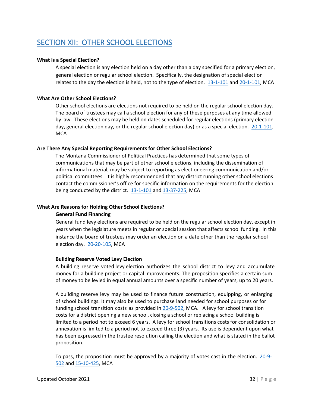# <span id="page-31-0"></span>SECTION XII: OTHER SCHOOL ELECTIONS

## <span id="page-31-1"></span>**What is a Special Election?**

A special election is any election held on a day other than a day specified for a primary election, general election or regular school election. Specifically, the designation of special election relates to the day the election is held, not to the type of election. [13-1-101](http://leg.mt.gov/bills/mca/title_0130/chapter_0010/part_0010/section_0010/0130-0010-0010-0010.html) an[d 20-1-101,](http://leg.mt.gov/bills/mca/title_0200/chapter_0010/part_0010/section_0010/0200-0010-0010-0010.html) MCA

## <span id="page-31-2"></span>**What Are Other School Elections?**

Other school elections are elections not required to be held on the regular school election day. The board of trustees may call a school election for any of these purposes at any time allowed by law. These elections may be held on dates scheduled for regular elections (primary election day, general election day, or the regular school election day) or as a special election. [20-1-101,](http://leg.mt.gov/bills/mca/title_0200/chapter_0010/part_0010/section_0010/0200-0010-0010-0010.html) **MCA** 

## <span id="page-31-3"></span>**Are There Any Special Reporting Requirements for Other School Elections?**

The Montana Commissioner of Political Practices has determined that some types of communications that may be part of other school elections, including the dissemination of informational material, may be subject to reporting as electioneering communication and/or political committees. It is highly recommended that any district running other school elections contact the commissioner's office for specific information on the requirements for the election being conducted by the district.  $13-1-101$  and  $13-37-225$ , MCA

## <span id="page-31-4"></span>**What Are Reasons for Holding Other School Elections?**

## **General Fund Financing**

General fund levy elections are required to be held on the regular school election day, except in years when the legislature meets in regular or special session that affects school funding. In this instance the board of trustees may order an election on a date other than the regular school election day. [20-20-105,](http://leg.mt.gov/bills/mca/title_0200/chapter_0200/part_0010/section_0050/0200-0200-0010-0050.html) MCA

## **Building Reserve Voted Levy Election**

A building reserve voted levy election authorizes the school district to levy and accumulate money for a building project or capital improvements. The proposition specifies a certain sum of money to be levied in equal annual amounts over a specific number of years, up to 20 years.

A building reserve levy may be used to finance future construction, equipping, or enlarging of school buildings. It may also be used to purchase land needed for school purposes or for funding school transition costs as provided in [20-9-502,](http://leg.mt.gov/bills/mca/title_0200/chapter_0090/part_0050/section_0020/0200-0090-0050-0020.html) MCA. A levy for school transition costs for a district opening a new school, closing a school or replacing a school building is limited to a period not to exceed 6 years. A levy for school transitions costs for consolidation or annexation is limited to a period not to exceed three (3) years. Its use is dependent upon what has been expressed in the trustee resolution calling the election and what is stated in the ballot proposition.

To pass, the proposition must be approved by a majority of votes cast in the election.  $20-9-$ [502](http://leg.mt.gov/bills/mca/title_0200/chapter_0090/part_0050/section_0020/0200-0090-0050-0020.html) an[d 15-10-425,](http://leg.mt.gov/bills/mca/title_0150/chapter_0100/part_0040/section_0250/0150-0100-0040-0250.html) MCA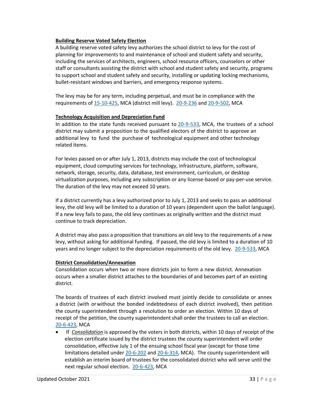## **Building Reserve Voted Safety Election**

A building reserve voted safety levy authorizes the school district to levy for the cost of planning for improvements to and maintenance of school and student safety and security, including the services of architects, engineers, school resource officers, counselors or other staff or consultants assisting the district with school and student safety and security, programs to support school and student safety and security, installing or updating locking mechanisms, bullet-resistant windows and barriers, and emergency response systems.

The levy may be for any term, including perpetual, and must be in compliance with the requirements of [15-10-425,](https://leg.mt.gov/bills/mca/title_0150/chapter_0100/part_0040/section_0250/0150-0100-0040-0250.html) MCA (district mill levy). [20-9-236](https://leg.mt.gov/bills/mca/title_0200/chapter_0090/part_0020/section_0360/0200-0090-0020-0360.html) an[d 20-9-502,](https://leg.mt.gov/bills/mca/title_0200/chapter_0090/part_0050/section_0020/0200-0090-0050-0020.html) MCA

## **Technology Acquisition and Depreciation Fund**

In addition to the state funds received pursuant to [20-9-533,](http://leg.mt.gov/bills/mca/title_0200/chapter_0090/part_0050/section_0330/0200-0090-0050-0330.html) MCA, the trustees of a school district may submit a proposition to the qualified electors of the district to approve an additional levy to fund the purchase of technological equipment and other technology related items.

For levies passed on or after July 1, 2013, districts may include the cost of technological equipment, cloud computing services for technology, infrastructure, platform, software, network, storage, security, data, database, test environment, curriculum, or desktop virtualization purposes, including any subscription or any license-based or pay-per-use service. The duration of the levy may not exceed 10 years.

If a district currently has a levy authorized prior to July 1, 2013 and seeks to pass an additional levy, the old levy will be limited to a duration of 10 years (dependent upon the ballot language). If a new levy fails to pass, the old levy continues as originally written and the district must continue to track depreciation.

A district may also pass a proposition that transitions an old levy to the requirements of a new levy, without asking for additional funding. If passed, the old levy is limited to a duration of 10 years and no longer subject to the depreciation requirements of the old levy. [20-9-533,](http://leg.mt.gov/bills/mca/title_0200/chapter_0090/part_0050/section_0330/0200-0090-0050-0330.html) MCA

## **District Consolidation/Annexation**

Consolidation occurs when two or more districts join to form a new district. Annexation occurs when a smaller district attaches to the boundaries of and becomes part of an existing district.

The boards of trustees of each district involved must jointly decide to consolidate or annex a district (with orwithout the bonded indebtedness of each district involved), then petition the county superintendent through a resolution to order an election. Within 10 days of receipt of the petition, the county superintendent shall order the trustees to call an election. [20-6-423,](http://leg.mt.gov/bills/mca/title_0200/chapter_0060/part_0040/section_0230/0200-0060-0040-0230.html) MCA

• If *Consolidation* is approved by the voters in both districts, within 10 days of receipt of the election certificate issued by the district trustees the county superintendent will order consolidation, effective July 1 of the ensuing school fiscal year (except for those time limitations detailed under [20-6-202](http://leg.mt.gov/bills/mca/title_0200/chapter_0060/part_0020/section_0020/0200-0060-0020-0020.html) and [20-6-314,](http://leg.mt.gov/bills/mca/title_0200/chapter_0060/part_0030/section_0140/0200-0060-0030-0140.html) MCA). The county superintendent will establish an interim board of trustees for the consolidated district who will serve until the next regular school election. [20-6-423,](http://leg.mt.gov/bills/mca/title_0200/chapter_0060/part_0040/section_0230/0200-0060-0040-0230.html) MCA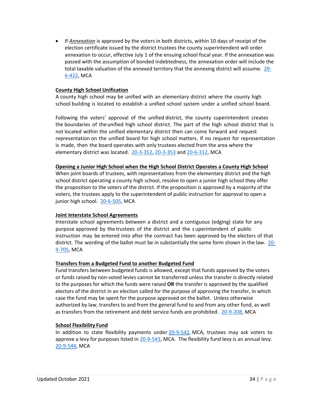• If *Annexation* is approved by the voters in both districts, within 10 days of receipt of the election certificate issued by the district trustees the county superintendent will order annexation to occur, effective July 1 of the ensuing school fiscal year. If the annexation was passed with the assumption of bonded indebtedness, the annexation order will include the total taxable valuation of the annexed territory that the annexing district will assume. [20-](http://leg.mt.gov/bills/mca/title_0200/chapter_0060/part_0040/section_0220/0200-0060-0040-0220.html) [6-422,](http://leg.mt.gov/bills/mca/title_0200/chapter_0060/part_0040/section_0220/0200-0060-0040-0220.html) MCA

## **County High School Unification**

A county high school may be unified with an elementary district where the county high school building is located to establish a unified school system under a unified school board.

Following the voters' approval of the unified district, the county superintendent creates the boundaries of theunified high school district. The part of the high school district that is not located within the unified elementary district then can come forward and request representation on the unified board for high school matters. If no request for representation is made, then the board operates with only trustees elected from the area where the elementary district was located. [20-3-352,](http://leg.mt.gov/bills/mca/title_0200/chapter_0030/part_0030/section_0520/0200-0030-0030-0520.html) [20-3-353](http://leg.mt.gov/bills/mca/title_0200/chapter_0030/part_0030/section_0530/0200-0030-0030-0530.html) and [20-6-312,](http://leg.mt.gov/bills/mca/title_0200/chapter_0060/part_0030/section_0120/0200-0060-0030-0120.html) MCA

## **Opening a Junior High School when the High School District Operates a County High School**

When joint boards of trustees, with representatives from the elementary district and the high school district operating a county high school, resolve to open a junior high school they offer the proposition to the voters of the district. If the proposition is approved by a majority of the voters, the trustees apply to the superintendent of public instruction for approval to open a junior high school. [20-6-505,](http://leg.mt.gov/bills/mca/title_0200/chapter_0060/part_0050/section_0050/0200-0060-0050-0050.html) MCA

## **Joint Interstate School Agreements**

Interstate school agreements between a district and a contiguous (edging) state for any purpose approved by the trustees of the district and the s uperintendent of public instruction may be entered into after the contract has been approved by the electors of that district. The wording of the ballot must be in substantially the same form shown in the law. [20-](http://leg.mt.gov/bills/mca/title_0200/chapter_0090/part_0070/section_0050/0200-0090-0070-0050.html) [9-705,](http://leg.mt.gov/bills/mca/title_0200/chapter_0090/part_0070/section_0050/0200-0090-0070-0050.html) MCA

## **Transfers from a Budgeted Fund to another Budgeted Fund**

Fund transfers between budgeted funds is allowed, except that funds approved by the voters or funds raised by non-voted levies cannot be transferred unless the transfer is directly related to the purposes for which the funds were raised **OR** the transfer is approved by the qualified electors of the district in an election called for the purpose of approving the transfer, in which case the fund may be spent for the purpose approved on the ballot. Unless otherwise authorized by law, transfers to and from the general fund to and from any other fund, as well as transfers from the retirement and debt service funds are prohibited. [20-9-208,](http://leg.mt.gov/bills/mca/title_0200/chapter_0090/part_0020/section_0080/0200-0090-0020-0080.html) MCA

## **School Flexibility Fund**

In addition to state flexibility payments under [20-9-542,](http://leg.mt.gov/bills/mca/title_0200/chapter_0090/part_0050/section_0420/0200-0090-0050-0420.html) MCA, trustees may ask voters to approve a levy for purposes listed in [20-9-543,](http://leg.mt.gov/bills/mca/title_0200/chapter_0090/part_0050/section_0430/0200-0090-0050-0430.html) MCA. The flexibility fund levy is an annual levy. [20-9-544,](http://leg.mt.gov/bills/mca/title_0200/chapter_0090/part_0050/section_0440/0200-0090-0050-0440.html) MCA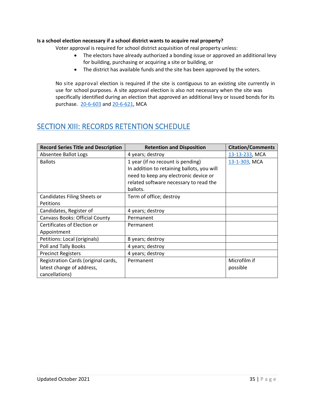## <span id="page-34-0"></span>**Is a school election necessary if a school district wants to acquire real property?**

Voter approval is required for school district acquisition of real property unless:

- The electors have already authorized a bonding issue or approved an additional levy for building, purchasing or acquiring a site or building, or
- The district has available funds and the site has been approved by the voters.

No site approval election is required if the site is contiguous to an existing site currently in use for school purposes. A site approval election is also not necessary when the site was specifically identified during an election that approved an additional levy or issued bonds for its purchase. [20-6-603](http://leg.mt.gov/bills/mca/title_0200/chapter_0060/part_0060/section_0030/0200-0060-0060-0030.html) an[d 20-6-621,](http://leg.mt.gov/bills/mca/title_0200/chapter_0060/part_0060/section_0210/0200-0060-0060-0210.html) MCA

## <span id="page-34-1"></span>SECTION XIII: RECORDS RETENTION SCHEDULE

| <b>Record Series Title and Description</b> | <b>Retention and Disposition</b>           | <b>Citation/Comments</b> |
|--------------------------------------------|--------------------------------------------|--------------------------|
| Absentee Ballot Logs                       | 4 years; destroy                           | 13-13-233, MCA           |
| <b>Ballots</b>                             | 1 year (if no recount is pending)          | 13-1-303, MCA            |
|                                            | In addition to retaining ballots, you will |                          |
|                                            | need to keep any electronic device or      |                          |
|                                            | related software necessary to read the     |                          |
|                                            | ballots.                                   |                          |
| Candidates Filing Sheets or                | Term of office; destroy                    |                          |
| Petitions                                  |                                            |                          |
| Candidates, Register of                    | 4 years; destroy                           |                          |
| <b>Canvass Books: Official County</b>      | Permanent                                  |                          |
| Certificates of Election or                | Permanent                                  |                          |
| Appointment                                |                                            |                          |
| Petitions: Local (originals)               | 8 years; destroy                           |                          |
| Poll and Tally Books                       | 4 years; destroy                           |                          |
| <b>Precinct Registers</b>                  | 4 years; destroy                           |                          |
| Registration Cards (original cards,        | Permanent                                  | Microfilm if             |
| latest change of address,                  |                                            | possible                 |
| cancellations)                             |                                            |                          |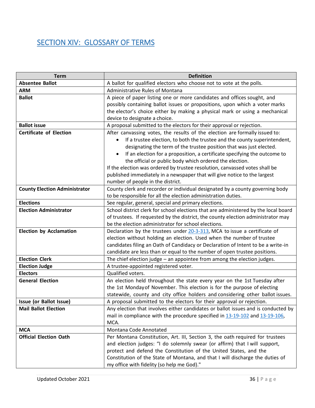# <span id="page-35-0"></span>SECTION XIV: GLOSSARY OF TERMS

| <b>Term</b>                          | <b>Definition</b>                                                                   |
|--------------------------------------|-------------------------------------------------------------------------------------|
| <b>Absentee Ballot</b>               | A ballot for qualified electors who choose not to vote at the polls.                |
| <b>ARM</b>                           | <b>Administrative Rules of Montana</b>                                              |
| <b>Ballot</b>                        | A piece of paper listing one or more candidates and offices sought, and             |
|                                      | possibly containing ballot issues or propositions, upon which a voter marks         |
|                                      | the elector's choice either by making a physical mark or using a mechanical         |
|                                      | device to designate a choice.                                                       |
| <b>Ballot issue</b>                  | A proposal submitted to the electors for their approval or rejection.               |
| <b>Certificate of Election</b>       | After canvassing votes, the results of the election are formally issued to:         |
|                                      | If a trustee election, to both the trustee and the county superintendent,           |
|                                      | designating the term of the trustee position that was just elected.                 |
|                                      | If an election for a proposition, a certificate specifying the outcome to           |
|                                      | the official or public body which ordered the election.                             |
|                                      | If the election was ordered by trustee resolution, canvassed votes shall be         |
|                                      | published immediately in a newspaper that will give notice to the largest           |
|                                      | number of people in the district.                                                   |
| <b>County Election Administrator</b> | County clerk and recorder or individual designated by a county governing body       |
|                                      | to be responsible for all the election administration duties.                       |
| <b>Elections</b>                     | See regular, general, special and primary elections.                                |
| <b>Election Administrator</b>        | School district clerk for school elections that are administered by the local board |
|                                      | of trustees. If requested by the district, the county election administrator may    |
|                                      | be the election administrator for school elections.                                 |
| <b>Election by Acclamation</b>       | Declaration by the trustees under 20-3-313, MCA to issue a certificate of           |
|                                      | election without holding an election. Used when the number of trustee               |
|                                      | candidates filing an Oath of Candidacy or Declaration of Intent to be a write-in    |
|                                      | candidate are less than or equal to the number of open trustee positions.           |
| <b>Election Clerk</b>                | The chief election judge - an appointee from among the election judges.             |
| <b>Election Judge</b>                | A trustee-appointed registered voter.                                               |
| <b>Electors</b>                      | Qualified voters.                                                                   |
| <b>General Election</b>              | An election held throughout the state every year on the 1st Tuesday after           |
|                                      | the 1st Monday of November. This election is for the purpose of electing            |
|                                      | statewide, county and city office holders and considering other ballot issues.      |
| Issue (or Ballot Issue)              | A proposal submitted to the electors for their approval or rejection.               |
| <b>Mail Ballot Election</b>          | Any election that involves either candidates or ballot issues and is conducted by   |
|                                      | mail in compliance with the procedure specified in 13-19-102 and 13-19-106,         |
|                                      | MCA.                                                                                |
| <b>MCA</b>                           | Montana Code Annotated                                                              |
| <b>Official Election Oath</b>        | Per Montana Constitution, Art. III, Section 3, the oath required for trustees       |
|                                      | and election judges: "I do solemnly swear (or affirm) that I will support,          |
|                                      | protect and defend the Constitution of the United States, and the                   |
|                                      | Constitution of the State of Montana, and that I will discharge the duties of       |
|                                      | my office with fidelity (so help me God)."                                          |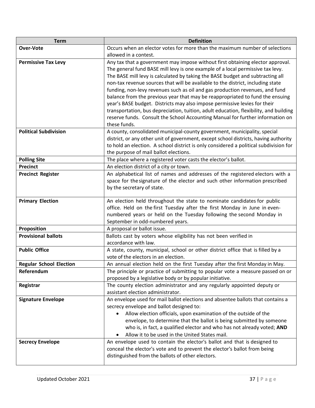| <b>Term</b>                    | <b>Definition</b>                                                                              |
|--------------------------------|------------------------------------------------------------------------------------------------|
| Over-Vote                      | Occurs when an elector votes for more than the maximum number of selections                    |
|                                | allowed in a contest.                                                                          |
| <b>Permissive Tax Levy</b>     | Any tax that a government may impose without first obtaining elector approval.                 |
|                                | The general fund BASE mill levy is one example of a local permissive tax levy.                 |
|                                | The BASE mill levy is calculated by taking the BASE budget and subtracting all                 |
|                                | non-tax revenue sources that will be available to the district, including state                |
|                                | funding, non-levy revenues such as oil and gas production revenues, and fund                   |
|                                | balance from the previous year that may be reappropriated to fund the ensuing                  |
|                                | year's BASE budget. Districts may also impose permissive levies for their                      |
|                                | transportation, bus depreciation, tuition, adult education, flexibility, and building          |
|                                | reserve funds. Consult the School Accounting Manual for further information on<br>these funds. |
| <b>Political Subdivision</b>   | A county, consolidated municipal-county government, municipality, special                      |
|                                | district, or any other unit of government, except school districts, having authority           |
|                                | to hold an election. A school district is only considered a political subdivision for          |
|                                | the purpose of mail ballot elections.                                                          |
| <b>Polling Site</b>            | The place where a registered voter casts the elector's ballot.                                 |
| <b>Precinct</b>                | An election district of a city or town.                                                        |
| <b>Precinct Register</b>       | An alphabetical list of names and addresses of the registered electors with a                  |
|                                | space for the signature of the elector and such other information prescribed                   |
|                                | by the secretary of state.                                                                     |
|                                |                                                                                                |
| <b>Primary Election</b>        | An election held throughout the state to nominate candidates for public                        |
|                                | office. Held on the first Tuesday after the first Monday in June in even-                      |
|                                | numbered years or held on the Tuesday following the second Monday in                           |
| Proposition                    | September in odd-numbered years.<br>A proposal or ballot issue.                                |
| <b>Provisional ballots</b>     | Ballots cast by voters whose eligibility has not been verified in                              |
|                                | accordance with law.                                                                           |
| <b>Public Office</b>           | A state, county, municipal, school or other district office that is filled by a                |
|                                | vote of the electors in an election.                                                           |
| <b>Regular School Election</b> | An annual election held on the first Tuesday after the first Monday in May.                    |
| Referendum                     | The principle or practice of submitting to popular vote a measure passed on or                 |
|                                | proposed by a legislative body or by popular initiative.                                       |
| Registrar                      | The county election administrator and any regularly appointed deputy or                        |
|                                | assistant election administrator.                                                              |
| <b>Signature Envelope</b>      | An envelope used for mail ballot elections and absentee ballots that contains a                |
|                                | secrecy envelope and ballot designed to:                                                       |
|                                | Allow election officials, upon examination of the outside of the                               |
|                                | envelope, to determine that the ballot is being submitted by someone                           |
|                                | who is, in fact, a qualified elector and who has not already voted; AND                        |
|                                | Allow it to be used in the United States mail.                                                 |
| <b>Secrecy Envelope</b>        | An envelope used to contain the elector's ballot and that is designed to                       |
|                                | conceal the elector's vote and to prevent the elector's ballot from being                      |
|                                | distinguished from the ballots of other electors.                                              |